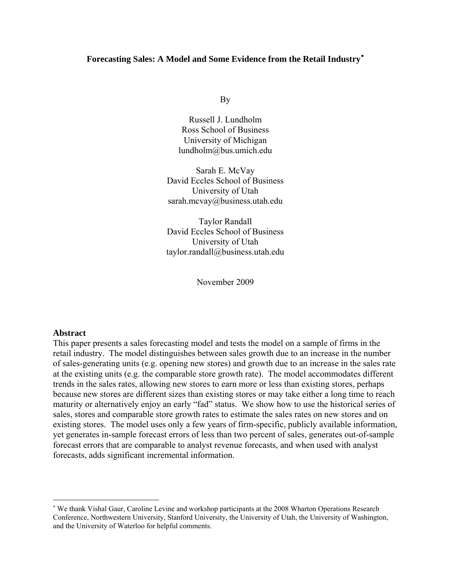# **Forecasting Sales: A Model and Some Evidence from the Retail Industry**[∗](#page-0-0)

By

Russell J. Lundholm Ross School of Business University of Michigan lundholm@bus.umich.edu

Sarah E. McVay David Eccles School of Business University of Utah sarah.mcvay@business.utah.edu

Taylor Randall David Eccles School of Business University of Utah taylor.randall@business.utah.edu

November 2009

#### **Abstract**

1

This paper presents a sales forecasting model and tests the model on a sample of firms in the retail industry. The model distinguishes between sales growth due to an increase in the number of sales-generating units (e.g. opening new stores) and growth due to an increase in the sales rate at the existing units (e.g. the comparable store growth rate). The model accommodates different trends in the sales rates, allowing new stores to earn more or less than existing stores, perhaps because new stores are different sizes than existing stores or may take either a long time to reach maturity or alternatively enjoy an early "fad" status. We show how to use the historical series of sales, stores and comparable store growth rates to estimate the sales rates on new stores and on existing stores. The model uses only a few years of firm-specific, publicly available information, yet generates in-sample forecast errors of less than two percent of sales, generates out-of-sample forecast errors that are comparable to analyst revenue forecasts, and when used with analyst forecasts, adds significant incremental information.

<span id="page-0-0"></span><sup>∗</sup> We thank Vishal Gaur, Caroline Levine and workshop participants at the 2008 Wharton Operations Research Conference, Northwestern University, Stanford University, the University of Utah, the University of Washington, and the University of Waterloo for helpful comments.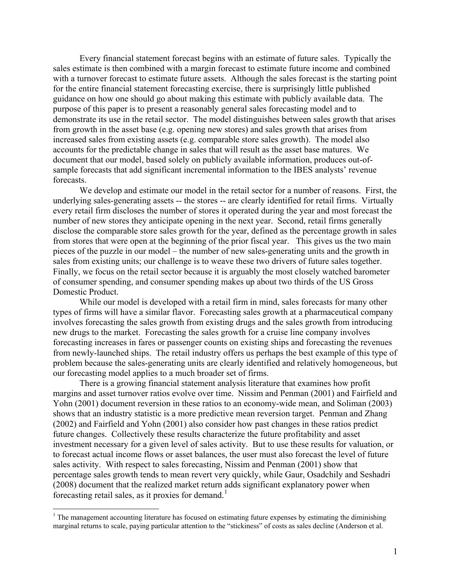Every financial statement forecast begins with an estimate of future sales. Typically the sales estimate is then combined with a margin forecast to estimate future income and combined with a turnover forecast to estimate future assets. Although the sales forecast is the starting point for the entire financial statement forecasting exercise, there is surprisingly little published guidance on how one should go about making this estimate with publicly available data. The purpose of this paper is to present a reasonably general sales forecasting model and to demonstrate its use in the retail sector. The model distinguishes between sales growth that arises from growth in the asset base (e.g. opening new stores) and sales growth that arises from increased sales from existing assets (e.g. comparable store sales growth). The model also accounts for the predictable change in sales that will result as the asset base matures. We document that our model, based solely on publicly available information, produces out-ofsample forecasts that add significant incremental information to the IBES analysts' revenue forecasts.

 We develop and estimate our model in the retail sector for a number of reasons. First, the underlying sales-generating assets -- the stores -- are clearly identified for retail firms. Virtually every retail firm discloses the number of stores it operated during the year and most forecast the number of new stores they anticipate opening in the next year. Second, retail firms generally disclose the comparable store sales growth for the year, defined as the percentage growth in sales from stores that were open at the beginning of the prior fiscal year. This gives us the two main pieces of the puzzle in our model – the number of new sales-generating units and the growth in sales from existing units; our challenge is to weave these two drivers of future sales together. Finally, we focus on the retail sector because it is arguably the most closely watched barometer of consumer spending, and consumer spending makes up about two thirds of the US Gross Domestic Product.

 While our model is developed with a retail firm in mind, sales forecasts for many other types of firms will have a similar flavor. Forecasting sales growth at a pharmaceutical company involves forecasting the sales growth from existing drugs and the sales growth from introducing new drugs to the market. Forecasting the sales growth for a cruise line company involves forecasting increases in fares or passenger counts on existing ships and forecasting the revenues from newly-launched ships. The retail industry offers us perhaps the best example of this type of problem because the sales-generating units are clearly identified and relatively homogeneous, but our forecasting model applies to a much broader set of firms.

 There is a growing financial statement analysis literature that examines how profit margins and asset turnover ratios evolve over time. Nissim and Penman (2001) and Fairfield and Yohn (2001) document reversion in these ratios to an economy-wide mean, and Soliman (2003) shows that an industry statistic is a more predictive mean reversion target. Penman and Zhang (2002) and Fairfield and Yohn (2001) also consider how past changes in these ratios predict future changes. Collectively these results characterize the future profitability and asset investment necessary for a given level of sales activity. But to use these results for valuation, or to forecast actual income flows or asset balances, the user must also forecast the level of future sales activity. With respect to sales forecasting, Nissim and Penman (2001) show that percentage sales growth tends to mean revert very quickly, while Gaur, Osadchily and Seshadri (2008) document that the realized market return adds significant explanatory power when forecasting retail sales, as it proxies for demand.<sup>[1](#page-1-0)</sup>

 $\overline{a}$ 

<span id="page-1-0"></span> $<sup>1</sup>$  The management accounting literature has focused on estimating future expenses by estimating the diminishing</sup> marginal returns to scale, paying particular attention to the "stickiness" of costs as sales decline (Anderson et al.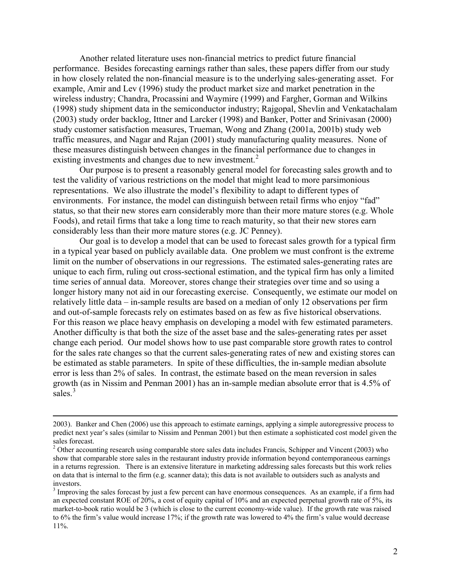Another related literature uses non-financial metrics to predict future financial performance. Besides forecasting earnings rather than sales, these papers differ from our study in how closely related the non-financial measure is to the underlying sales-generating asset. For example, Amir and Lev (1996) study the product market size and market penetration in the wireless industry; Chandra, Procassini and Waymire (1999) and Fargher, Gorman and Wilkins (1998) study shipment data in the semiconductor industry; Rajgopal, Shevlin and Venkatachalam (2003) study order backlog, Ittner and Larcker (1998) and Banker, Potter and Srinivasan (2000) study customer satisfaction measures, Trueman, Wong and Zhang (2001a, 2001b) study web traffic measures, and Nagar and Rajan (2001) study manufacturing quality measures. None of these measures distinguish between changes in the financial performance due to changes in existing investments and changes due to new investment.<sup>[2](#page-2-0)</sup>

 Our purpose is to present a reasonably general model for forecasting sales growth and to test the validity of various restrictions on the model that might lead to more parsimonious representations. We also illustrate the model's flexibility to adapt to different types of environments. For instance, the model can distinguish between retail firms who enjoy "fad" status, so that their new stores earn considerably more than their more mature stores (e.g. Whole Foods), and retail firms that take a long time to reach maturity, so that their new stores earn considerably less than their more mature stores (e.g. JC Penney).

 Our goal is to develop a model that can be used to forecast sales growth for a typical firm in a typical year based on publicly available data. One problem we must confront is the extreme limit on the number of observations in our regressions. The estimated sales-generating rates are unique to each firm, ruling out cross-sectional estimation, and the typical firm has only a limited time series of annual data. Moreover, stores change their strategies over time and so using a longer history many not aid in our forecasting exercise. Consequently, we estimate our model on relatively little data – in-sample results are based on a median of only 12 observations per firm and out-of-sample forecasts rely on estimates based on as few as five historical observations. For this reason we place heavy emphasis on developing a model with few estimated parameters. Another difficulty is that both the size of the asset base and the sales-generating rates per asset change each period. Our model shows how to use past comparable store growth rates to control for the sales rate changes so that the current sales-generating rates of new and existing stores can be estimated as stable parameters. In spite of these difficulties, the in-sample median absolute error is less than 2% of sales. In contrast, the estimate based on the mean reversion in sales growth (as in Nissim and Penman 2001) has an in-sample median absolute error that is 4.5% of sales.<sup>[3](#page-2-1)</sup>

 <sup>2003).</sup> Banker and Chen (2006) use this approach to estimate earnings, applying a simple autoregressive process to predict next year's sales (similar to Nissim and Penman 2001) but then estimate a sophisticated cost model given the sales forecast.

<sup>&</sup>lt;sup>2</sup> Other accounting research using comparable store sales data includes Francis, Schipper and Vincent (2003) who show that comparable store sales in the restaurant industry provide information beyond contemporaneous earnings in a returns regression. There is an extensive literature in marketing addressing sales forecasts but this work relies on data that is internal to the firm (e.g. scanner data); this data is not available to outsiders such as analysts and investors.

<span id="page-2-1"></span><span id="page-2-0"></span> $3$  Improving the sales forecast by just a few percent can have enormous consequences. As an example, if a firm had an expected constant ROE of 20%, a cost of equity capital of 10% and an expected perpetual growth rate of 5%, its market-to-book ratio would be 3 (which is close to the current economy-wide value). If the growth rate was raised to 6% the firm's value would increase 17%; if the growth rate was lowered to 4% the firm's value would decrease 11%.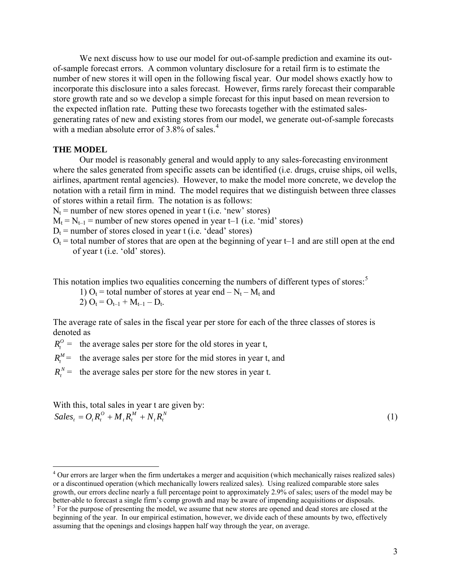We next discuss how to use our model for out-of-sample prediction and examine its outof-sample forecast errors. A common voluntary disclosure for a retail firm is to estimate the number of new stores it will open in the following fiscal year. Our model shows exactly how to incorporate this disclosure into a sales forecast. However, firms rarely forecast their comparable store growth rate and so we develop a simple forecast for this input based on mean reversion to the expected inflation rate. Putting these two forecasts together with the estimated salesgenerating rates of new and existing stores from our model, we generate out-of-sample forecasts with a median absolute error of  $3.8\%$  of sales.<sup>[4](#page-3-0)</sup>

## **THE MODEL**

Our model is reasonably general and would apply to any sales-forecasting environment where the sales generated from specific assets can be identified (i.e. drugs, cruise ships, oil wells, airlines, apartment rental agencies). However, to make the model more concrete, we develop the notation with a retail firm in mind. The model requires that we distinguish between three classes of stores within a retail firm. The notation is as follows:

 $N_t$  = number of new stores opened in year t (i.e. 'new' stores)

 $M_t = N_{t-1}$  = number of new stores opened in year t–1 (i.e. 'mid' stores)

 $D_t$  = number of stores closed in year t (i.e. 'dead' stores)

 $O_t$  = total number of stores that are open at the beginning of year t–1 and are still open at the end of year t (i.e. 'old' stores).

This notation implies two equalities concerning the numbers of different types of stores:<sup>[5](#page-3-1)</sup>

1)  $O_t$  = total number of stores at year end –  $N_t$  –  $M_t$  and

2)  $O_t = O_{t-1} + M_{t-1} - D_t$ .

The average rate of sales in the fiscal year per store for each of the three classes of stores is denoted as

 $R_t^0$  = the average sales per store for the old stores in year t,

 $R_t^M$  = the average sales per store for the mid stores in year t, and

 $R_t^N$  = the average sales per store for the new stores in year t.

With this, total sales in year t are given by: *N*  $t^{IV}t$ *M*  $t^{IV}t$  $Sales_t = O_t R_t^O + M_t R_t^M + N_t R_t^N$  (1)

 $\overline{a}$ 

<span id="page-3-0"></span><sup>&</sup>lt;sup>4</sup> Our errors are larger when the firm undertakes a merger and acquisition (which mechanically raises realized sales) or a discontinued operation (which mechanically lowers realized sales). Using realized comparable store sales growth, our errors decline nearly a full percentage point to approximately 2.9% of sales; users of the model may be better-able to forecast a single firm's comp growth and may be aware of impending acquisitions or disposals. 5

<span id="page-3-1"></span><sup>&</sup>lt;sup>5</sup> For the purpose of presenting the model, we assume that new stores are opened and dead stores are closed at the beginning of the year. In our empirical estimation, however, we divide each of these amounts by two, effectively assuming that the openings and closings happen half way through the year, on average.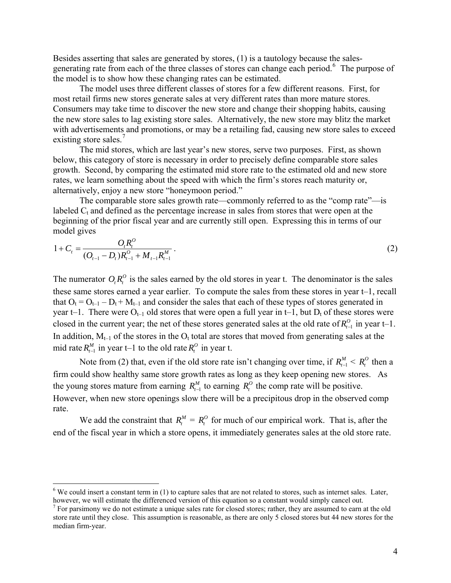Besides asserting that sales are generated by stores, (1) is a tautology because the sales-generating rate from each of the three classes of stores can change each period.<sup>[6](#page-4-0)</sup> The purpose of the model is to show how these changing rates can be estimated.

 The model uses three different classes of stores for a few different reasons. First, for most retail firms new stores generate sales at very different rates than more mature stores. Consumers may take time to discover the new store and change their shopping habits, causing the new store sales to lag existing store sales. Alternatively, the new store may blitz the market with advertisements and promotions, or may be a retailing fad, causing new store sales to exceed existing store sales.<sup>[7](#page-4-1)</sup>

 The mid stores, which are last year's new stores, serve two purposes. First, as shown below, this category of store is necessary in order to precisely define comparable store sales growth. Second, by comparing the estimated mid store rate to the estimated old and new store rates, we learn something about the speed with which the firm's stores reach maturity or, alternatively, enjoy a new store "honeymoon period."

 The comparable store sales growth rate—commonly referred to as the "comp rate"—is labeled  $C_t$  and defined as the percentage increase in sales from stores that were open at the beginning of the prior fiscal year and are currently still open. Expressing this in terms of our model gives

$$
1 + C_t = \frac{O_t R_t^O}{(O_{t-1} - D_t)R_{t-1}^O + M_{t-1}R_{t-1}^M}.
$$
\n(2)

The numerator  $O_i R_t^O$  is the sales earned by the old stores in year t. The denominator is the sales these same stores earned a year earlier. To compute the sales from these stores in year t–1, recall that  $O_t = O_{t-1} - D_t + M_{t-1}$  and consider the sales that each of these types of stores generated in year t–1. There were  $O_{t-1}$  old stores that were open a full year in t–1, but  $D_t$  of these stores were closed in the current year; the net of these stores generated sales at the old rate of  $R_{t-1}^0$  in year t–1. In addition,  $M_{t-1}$  of the stores in the  $O_t$  total are stores that moved from generating sales at the mid rate  $R_{t-1}^M$  in year t–1 to the old rate  $R_t^O$  in year t.

Note from (2) that, even if the old store rate isn't changing over time, if  $R_{t-1}^M < R_t^O$  then a firm could show healthy same store growth rates as long as they keep opening new stores. As the young stores mature from earning  $R_{t-1}^M$  to earning  $R_t^O$  the comp rate will be positive. However, when new store openings slow there will be a precipitous drop in the observed comp rate.

We add the constraint that  $R_t^M = R_t^O$  for much of our empirical work. That is, after the end of the fiscal year in which a store opens, it immediately generates sales at the old store rate.

 $\overline{a}$ 

 $6$  We could insert a constant term in (1) to capture sales that are not related to stores, such as internet sales. Later, however, we will estimate the differenced version of this equation so a constant would simply cancel out.

<span id="page-4-1"></span><span id="page-4-0"></span> $<sup>7</sup>$  For parsimony we do not estimate a unique sales rate for closed stores; rather, they are assumed to earn at the old</sup> store rate until they close. This assumption is reasonable, as there are only 5 closed stores but 44 new stores for the median firm-year.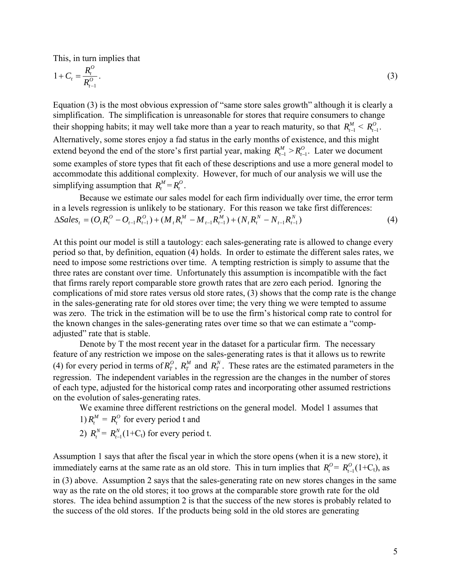This, in turn implies that

$$
1 + C_t = \frac{R_t^0}{R_{t-1}^0}.
$$
 (3)

Equation (3) is the most obvious expression of "same store sales growth" although it is clearly a Alternatively, some stores enjoy a fad status in the early months of existence, and this might some examples of store types that fit each of these descriptions and use a more general model to accommodate this additional complexity. However, for much of our analysis we will use the simplifying assumption that  $R_t^M = R_t^O$ . simplification. The simplification is unreasonable for stores that require consumers to change their shopping habits; it may well take more than a year to reach maturity, so that  $R_{t-1}^M < R_{t-1}^O$ . extend beyond the end of the store's first partial year, making  $R_{t-1}^M > R_{t-1}^O$ . Later we document

Because we estimate our sales model for each firm individually over time, the error term in a levels regression is unlikely to be stationary. For this reason we ta ke first differences: (4)  $(O_{t}R_{t}^{O}-O_{t-1}R_{t-1}^{O})+(M_{t}R_{t}^{M}-M_{t-1}R_{t-1}^{M})+(N_{t}R_{t}^{N}-N_{t-1}R_{t-1}^{N})$  $_{t-1}$ <sup> $\mathbf{r}_{t}$ </sup> *N*  $t^{I\Lambda}t$ *M*  $t-1$ <sup> $\mathbf{I}$ </sup> $t$ *M*  $t^{I\Lambda}t$ *O*  $t-1$ <sup> $\mathbf{I}$ </sup> $t$  $\Delta Sales_t = (O_t R_t^O - O_{t-1} R_{t-1}^O) + (M_t R_t^M - M_{t-1} R_{t-1}^M) + (N_t R_t^N - N_{t-1} R_{t-1}^M)$ 

complications of mid store rates versus old store rates, (3) shows that the comp rate is the change was zero. The trick in the estimation will be to use the firm's historical comp rate to control for the known changes in the sales-generating rates over time so that we can estimate a "comp-At this point our model is still a tautology: each sales-generating rate is allowed to change every period so that, by definition, equation (4) holds. In order to estimate the different sales rates, we need to impose some restrictions over time. A tempting restriction is simply to assume that the three rates are constant over time. Unfortunately this assumption is incompatible with the fact that firms rarely report comparable store growth rates that are zero each period. Ignoring the in the sales-generating rate for old stores over time; the very thing we were tempted to assume adjusted" rate that is stable.

feature of any restriction we impose on the sales-generating rates is that it allows us to rewrite of each type, adjusted for the historical comp rates and incorporating other assumed restrictions Denote by T the most recent year in the dataset for a particular firm. The necessary (4) for every period in terms of  $R_T^0$ ,  $R_T^M$  and  $R_T^N$ . These rates are the estimated parameters in the regression. The independent variables in the regression are the changes in the number of stores on the evolution of sales-generating rates.

We examine three different restrictions on the general model. Model 1 assumes that

1)  $R_t^M = R_t^O$  for every period t and

2) 
$$
R_t^N = R_{t-1}^N(1+C_t)
$$
 for every period t.

in (3) above. Assumption 2 says that the sales-generating rate on new stores changes in the same stores. The idea behind assumption 2 is that the success of the new stores is probably related to the success of the old stores. If the products being sold in the old stores are generating Assumption 1 says that after the fiscal year in which the store opens (when it is a new store), it immediately earns at the same rate as an old store. This in turn implies that  $R_t^0 = R_{t-1}^0(1+C_t)$ , as way as the rate on the old stores; it too grows at the comparable store growth rate for the old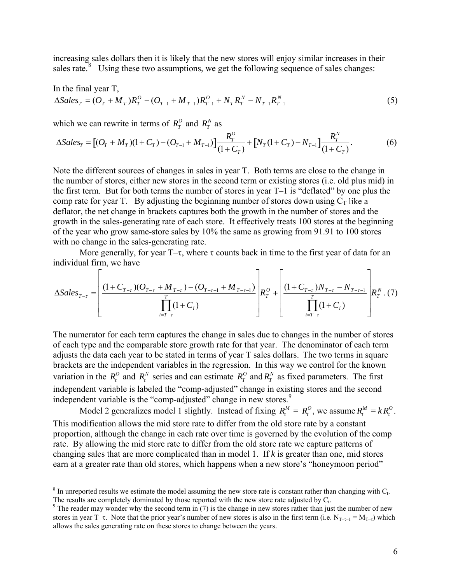increasing sales dollars then it is likely that the new stores will enjoy similar increases in their sales rate. $8$  Using these two assumptions, we get the following sequence of sales changes:

In the final year T,  
\n
$$
\Delta Sales_T = (O_T + M_T)R_T^O - (O_{T-1} + M_{T-1})R_{T-1}^O + N_T R_T^N - N_{T-1} R_{T-1}^N
$$
\n(5)

which we can rewrite in terms of  $R_T^O$  and  $R_T^N$  as

1

$$
\Delta Sales_{T} = [(O_{T} + M_{T})(1 + C_{T}) - (O_{T-1} + M_{T-1})]\frac{R_{T}^{O}}{(1 + C_{T})} + [N_{T}(1 + C_{T}) - N_{T-1}]\frac{R_{T}^{N}}{(1 + C_{T})}.
$$
\n(6)

Note the different sources of changes in sales in year T. Both terms are close to the change in the number of stores, either new stores in the second term or existing stores (i.e. old plus mid) in the first term. But for both terms the number of stores in year T–1 is "deflated" by one plus the comp rate for year T. By adjusting the beginning number of stores down using  $C_T$  like a deflator, the net change in brackets captures both the growth in the number of stores and the growth in the sales-generating rate of each store. It effectively treats 100 stores at the beginning of the year who grow same-store sales by 10% the same as growing from 91.91 to 100 stores with no change in the sales-generating rate.

More generally, for year  $T-\tau$ , where  $\tau$  counts back in time to the first year of data for an individual firm, we have

$$
\Delta Sales_{T-\tau} = \left[ \frac{(1+C_{T-\tau})(O_{T-\tau} + M_{T-\tau}) - (O_{T-\tau-1} + M_{T-\tau-1})}{\prod_{i=T-\tau}^{T} (1+C_i)} R_T^O + \left[ \frac{(1+C_{T-\tau})N_{T-\tau} - N_{T-\tau-1}}{\prod_{i=T-\tau}^{T} (1+C_i)} R_T^N \right] \right]
$$

The numerator for each term captures the change in sales due to changes in the number of stores of each type and the comparable store growth rate for that year. The denominator of each term adjusts the data each year to be stated in terms of year T sales dollars. The two terms in square brackets are the independent variables in the regression. In this way we control for the known variation in the  $R_t^0$  and  $R_t^N$  series and can estimate  $R_T^0$  and  $R_T^N$  as fixed parameters. The first independent variable is labeled the "comp-adjusted" change in existing stores and the second independent variable is the "comp-adjusted" change in new stores.<sup>[9](#page-6-1)</sup>

Model 2 generalizes model 1 slightly. Instead of fixing  $R_t^M = R_t^O$ , we assume  $R_t^M = kR_t^O$ . This modification allows the mid store rate to differ from the old store rate by a constant proportion, although the change in each rate over time is governed by the evolution of the comp rate. By allowing the mid store rate to differ from the old store rate we capture patterns of changing sales that are more complicated than in model 1. If *k* is greater than one, mid stores earn at a greater rate than old stores, which happens when a new store's "honeymoon period"

 $8$  In unreported results we estimate the model assuming the new store rate is constant rather than changing with  $C_t$ . The results are completely dominated by those reported with the new store rate adjusted by  $C_t$ .

<span id="page-6-1"></span><span id="page-6-0"></span> $\degree$  The reader may wonder why the second term in (7) is the change in new stores rather than just the number of new stores in year T–τ. Note that the prior year's number of new stores is also in the first term (i.e.  $N_{T-\tau-1} = M_{T-\tau}$ ) which allows the sales generating rate on these stores to change between the years.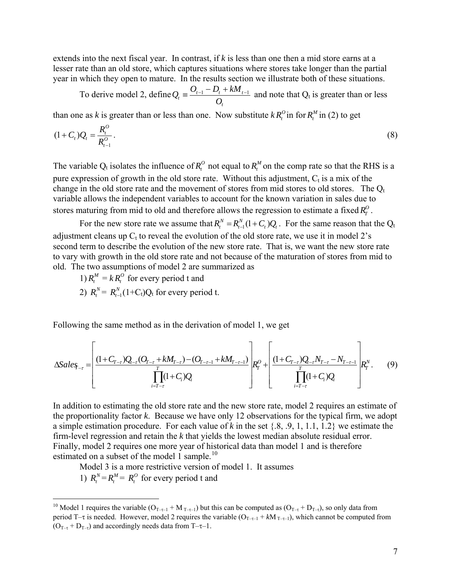extends into the next fiscal year. In contrast, if *k* is less than one then a mid store earns at a lesser rate than an old store, which captures situations where stores take longer than the partial year in which they open to mature. In the results section we illustrate both of these situations.

 To derive model 2, define *t*  $\frac{b_t}{t} \equiv \frac{b_{t-1} - b_t + \kappa m_t}{O_t}$  $Q_i = \frac{O_{i-1} - D_i + kM_{i-1}}{2}$  and note that  $Q_i$  is greater than or less

than one as *k* is greater than or less than one. Now substitute  $k R_t^0$  in for  $R_t^M$  in (2) to get

$$
(1+C_t)Q_t = \frac{R_t^O}{R_{t-1}^O}.
$$
\n(8)

The variable  $Q_t$  isolates the influence of  $R_t^0$  not equal to  $R_t^M$  on the comp rate so that the RHS is a pure expression of growth in the old store rate. Without this adjustment,  $C_t$  is a mix of the change in the old store rate and the movement of stores from mid stores to old stores. The  $Q_t$ variable allows the independent variables to account for the known variation in sales due to stores maturing from mid to old and therefore allows the regression to estimate a fixed  $R_T^O$ .

For the new store rate we assume that  $R_t^N = R_{t-1}^N(1+C_t)Q_t$ . For the same reason that the Q<sub>t</sub> adjustment cleans up  $C_t$  to reveal the evolution of the old store rate, we use it in model 2's second term to describe the evolution of the new store rate. That is, we want the new store rate to vary with growth in the old store rate and not because of the maturation of stores from mid to old. The two assumptions of model 2 are summarized as *N t*  $R_t^N = R_{t-1}^N(1+C_t)Q_t$ 

1)  $R_t^M = k R_t^O$  for every period t and 2)  $R_t^N = R_{t-1}^N (1+C_t) Q_t$  for every period t.

Following the same method as in the derivation of model 1, we get

$$
\Delta Sales_{-r} = \left[ \frac{(1+C_{T-r})Q_{t-r}(O_{T-r}+kM_{T-r})-(O_{T-r-1}+kM_{T-r-1})}{\prod_{i=T-r}^{T}(1+C_i)Q_i} R_i^O + \left[ \frac{(1+C_{T-r})Q_{t-r}N_{T-r}-N_{T-r-1}}{\prod_{i=T-r}^{T}(1+C_i)Q_i} R_i^N \right] \tag{9}
$$

In addition to estimating the old store rate and the new store rate, model 2 requires an estimate of the proportionality factor *k*. Because we have only 12 observations for the typical firm, we adopt a simple estimation procedure. For each value of *k* in the set {.8, .9, 1, 1.1, 1.2} we estimate the firm-level regression and retain the *k* that yields the lowest median absolute residual error. Finally, model 2 requires one more year of historical data than model 1 and is therefore estimated on a subset of the model 1 sample.<sup>[10](#page-7-0)</sup>

Model 3 is a more restrictive version of model 1. It assumes

1)  $R_t^N = R_t^M = R_t^O$  for every period t and

1

<span id="page-7-0"></span><sup>&</sup>lt;sup>10</sup> Model 1 requires the variable ( $O_{T-\tau-1} + M_{T-\tau-1}$ ) but this can be computed as ( $O_{T-\tau} + D_{T-\tau}$ ), so only data from period T–τ is needed. However, model 2 requires the variable  $(O_{T-\tau-1} + kM_{T-\tau-1})$ , which cannot be computed from  $(O_{T-\tau} + D_{T-\tau})$  and accordingly needs data from T- $\tau$ -1.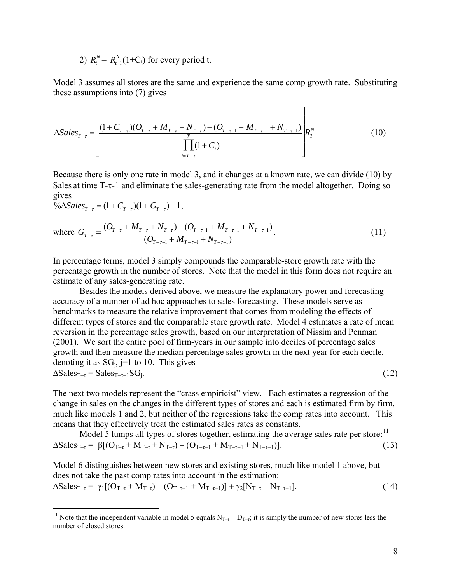2)  $R_t^N = R_{t-1}^N (1+C_t)$  for every period t.

Model 3 assumes all stores are the same and experience the same comp growth rate. Substituting these assumptions into (7) gives

$$
\Delta Sales_{T-\tau} = \left[ \frac{(1+C_{T-\tau})(O_{T-\tau} + M_{T-\tau} + N_{T-\tau}) - (O_{T-\tau-1} + M_{T-\tau-1} + N_{T-\tau-1})}{\prod_{i=T-\tau}^{T} (1+C_i)} \right] R_{T}^{N}
$$
(10)

Because there is only one rate in model 3, and it changes at a known rate, we can divide (10) by Sales at time T-τ-1 and eliminate the sales-generating rate from the model altogether. Doing so gives

$$
\% \Delta Sales_{T-\tau} = (1 + C_{T-\tau})(1 + G_{T-\tau}) - 1,
$$

 $\overline{a}$ 

where 
$$
G_{T-\tau} = \frac{(O_{T-\tau} + M_{T-\tau} + N_{T-\tau}) - (O_{T-\tau-1} + M_{T-\tau-1} + N_{T-\tau-1})}{(O_{T-\tau-1} + M_{T-\tau-1} + N_{T-\tau-1})}.
$$
\n(11)

In percentage terms, model 3 simply compounds the comparable-store growth rate with the percentage growth in the number of stores. Note that the model in this form does not require an estimate of any sales-generating rate.

Besides the models derived above, we measure the explanatory power and forecasting accuracy of a number of ad hoc approaches to sales forecasting. These models serve as benchmarks to measure the relative improvement that comes from modeling the effects of different types of stores and the comparable store growth rate. Model 4 estimates a rate of mean reversion in the percentage sales growth, based on our interpretation of Nissim and Penman (2001). We sort the entire pool of firm-years in our sample into deciles of percentage sales growth and then measure the median percentage sales growth in the next year for each decile, denoting it as  $SG_i$ , j=1 to 10. This gives  $\Delta$ Sales<sub>T–T</sub> = Sales<sub>T–T–1</sub>SG<sub>i</sub>. (12)

The next two models represent the "crass empiricist" view. Each estimates a regression of the change in sales on the changes in the different types of stores and each is estimated firm by firm, much like models 1 and 2, but neither of the regressions take the comp rates into account. This means that they effectively treat the estimated sales rates as constants.

Model 5 lumps all types of stores together, estimating the average sales rate per store:  $11$  $\Delta$ Sales<sub>T-τ</sub> =  $\beta$ [(O<sub>T-τ</sub> + M<sub>T-τ</sub> + N<sub>T-τ</sub>) – (O<sub>T-τ-1</sub> + M<sub>T-τ-1</sub> + N<sub>T-τ-1</sub>)]. (13)

Model 6 distinguishes between new stores and existing stores, much like model 1 above, but does not take the past comp rates into account in the estimation:  $\Delta$ Sales<sub>T-τ</sub> =  $\gamma_1[(O_{T-\tau} + M_{T-\tau}) - (O_{T-\tau-1} + M_{T-\tau-1})] + \gamma_2[N_{T-\tau} - N_{T-\tau-1}].$  (14)

<span id="page-8-0"></span><sup>&</sup>lt;sup>11</sup> Note that the independent variable in model 5 equals  $N_{T-\tau} - D_{T-\tau}$ ; it is simply the number of new stores less the number of closed stores.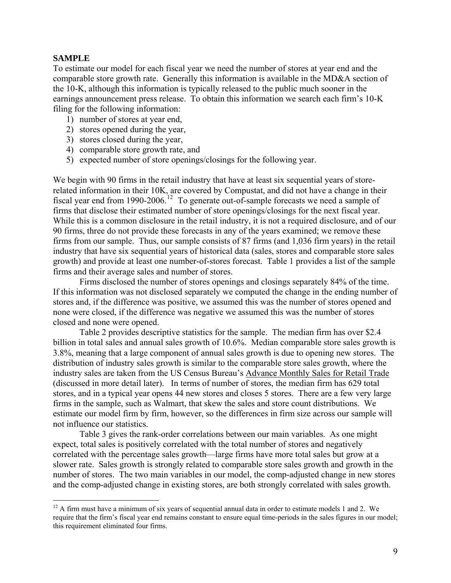# <span id="page-9-0"></span>**SAMPLE**

1

To estimate our model for each fiscal year we need the number of stores at year end and the comparable store growth rate. Generally this information is available in the MD&A section of the 10-K, although this information is typically released to the public much sooner in the earnings announcement press release. To obtain this information we search each firm's 10-K filing for the following information:

- 1) number of stores at year end,
- 2) stores opened during the year,
- 3) stores closed during the year,
- 4) comparable store growth rate, and
- 5) expected number of store openings/closings for the following year.

We begin with 90 firms in the retail industry that have at least six sequential years of storerelated information in their 10K, are covered by Compustat, and did not have a change in their fiscal year end from 1990-2006.<sup>[12](#page-9-0)</sup> To generate out-of-sample forecasts we need a sample of firms that disclose their estimated number of store openings/closings for the next fiscal year. While this is a common disclosure in the retail industry, it is not a required disclosure, and of our 90 firms, three do not provide these forecasts in any of the years examined; we remove these firms from our sample. Thus, our sample consists of 87 firms (and 1,036 firm years) in the retail industry that have six sequential years of historical data (sales, stores and comparable store sales growth) and provide at least one number-of-stores forecast. Table 1 provides a list of the sample firms and their average sales and number of stores.

Firms disclosed the number of stores openings and closings separately 84% of the time. If this information was not disclosed separately we computed the change in the ending number of stores and, if the difference was positive, we assumed this was the number of stores opened and none were closed, if the difference was negative we assumed this was the number of stores closed and none were opened.

 Table 2 provides descriptive statistics for the sample. The median firm has over \$2.4 billion in total sales and annual sales growth of 10.6%. Median comparable store sales growth is 3.8%, meaning that a large component of annual sales growth is due to opening new stores. The distribution of industry sales growth is similar to the comparable store sales growth, where the industry sales are taken from the US Census Bureau's Advance Monthly Sales for Retail Trade (discussed in more detail later). In terms of number of stores, the median firm has 629 total stores, and in a typical year opens 44 new stores and closes 5 stores. There are a few very large firms in the sample, such as Walmart, that skew the sales and store count distributions. We estimate our model firm by firm, however, so the differences in firm size across our sample will not influence our statistics.

 Table 3 gives the rank-order correlations between our main variables. As one might expect, total sales is positively correlated with the total number of stores and negatively correlated with the percentage sales growth—large firms have more total sales but grow at a slower rate. Sales growth is strongly related to comparable store sales growth and growth in the number of stores. The two main variables in our model, the comp-adjusted change in new stores and the comp-adjusted change in existing stores, are both strongly correlated with sales growth.

 $12$  A firm must have a minimum of six years of sequential annual data in order to estimate models 1 and 2. We require that the firm's fiscal year end remains constant to ensure equal time-periods in the sales figures in our model; this requirement eliminated four firms.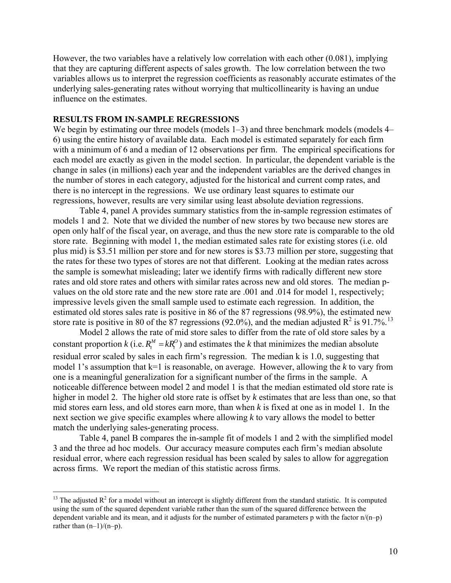<span id="page-10-0"></span>However, the two variables have a relatively low correlation with each other (0.081), implying that they are capturing different aspects of sales growth. The low correlation between the two variables allows us to interpret the regression coefficients as reasonably accurate estimates of the underlying sales-generating rates without worrying that multicollinearity is having an undue influence on the estimates.

## **RESULTS FROM IN-SAMPLE REGRESSIONS**

 $\overline{a}$ 

We begin by estimating our three models (models 1–3) and three benchmark models (models 4– 6) using the entire history of available data. Each model is estimated separately for each firm with a minimum of 6 and a median of 12 observations per firm. The empirical specifications for each model are exactly as given in the model section. In particular, the dependent variable is the change in sales (in millions) each year and the independent variables are the derived changes in the number of stores in each category, adjusted for the historical and current comp rates, and there is no intercept in the regressions. We use ordinary least squares to estimate our regressions, however, results are very similar using least absolute deviation regressions.

 Table 4, panel A provides summary statistics from the in-sample regression estimates of models 1 and 2. Note that we divided the number of new stores by two because new stores are open only half of the fiscal year, on average, and thus the new store rate is comparable to the old store rate. Beginning with model 1, the median estimated sales rate for existing stores (i.e. old plus mid) is \$3.51 million per store and for new stores is \$3.73 million per store, suggesting that the rates for these two types of stores are not that different. Looking at the median rates across the sample is somewhat misleading; later we identify firms with radically different new store rates and old store rates and others with similar rates across new and old stores. The median pvalues on the old store rate and the new store rate are .001 and .014 for model 1, respectively; impressive levels given the small sample used to estimate each regression. In addition, the estimated old stores sales rate is positive in 86 of the 87 regressions (98.9%), the estimated new store rate is positive in 80 of the 87 regressions (92.0%), and the median adjusted  $R^2$  is 91.7%.<sup>[13](#page-10-0)</sup>

 Model 2 allows the rate of mid store sales to differ from the rate of old store sales by a constant proportion  $k$  (i.e.  $R_t^M = kR_t^O$ ) and estimates the *k* that minimizes the median absolute residual error scaled by sales in each firm's regression. The median k is 1.0, suggesting that model 1's assumption that k=1 is reasonable, on average. However, allowing the *k* to vary from one is a meaningful generalization for a significant number of the firms in the sample. A noticeable difference between model 2 and model 1 is that the median estimated old store rate is higher in model 2. The higher old store rate is offset by *k* estimates that are less than one, so that mid stores earn less, and old stores earn more, than when *k* is fixed at one as in model 1. In the next section we give specific examples where allowing *k* to vary allows the model to better match the underlying sales-generating process. *t*  $R_t^M = kR_t$ 

Table 4, panel B compares the in-sample fit of models 1 and 2 with the simplified model 3 and the three ad hoc models. Our accuracy measure computes each firm's median absolute residual error, where each regression residual has been scaled by sales to allow for aggregation across firms. We report the median of this statistic across firms.

<sup>&</sup>lt;sup>13</sup> The adjusted  $R^2$  for a model without an intercept is slightly different from the standard statistic. It is computed using the sum of the squared dependent variable rather than the sum of the squared difference between the dependent variable and its mean, and it adjusts for the number of estimated parameters p with the factor  $n/(n-p)$ rather than  $(n-1)/(n-p)$ .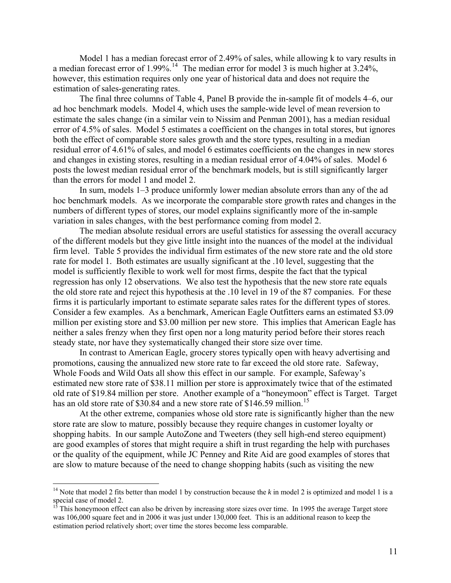<span id="page-11-0"></span>Model 1 has a median forecast error of 2.49% of sales, while allowing k to vary results in a median forecast error of 1.99%.<sup>[14](#page-11-0)</sup> The median error for model 3 is much higher at  $3.24\%$ , however, this estimation requires only one year of historical data and does not require the estimation of sales-generating rates.

 The final three columns of Table 4, Panel B provide the in-sample fit of models 4–6, our ad hoc benchmark models. Model 4, which uses the sample-wide level of mean reversion to estimate the sales change (in a similar vein to Nissim and Penman 2001), has a median residual error of 4.5% of sales. Model 5 estimates a coefficient on the changes in total stores, but ignores both the effect of comparable store sales growth and the store types, resulting in a median residual error of 4.61% of sales, and model 6 estimates coefficients on the changes in new stores and changes in existing stores, resulting in a median residual error of 4.04% of sales. Model 6 posts the lowest median residual error of the benchmark models, but is still significantly larger than the errors for model 1 and model 2.

 In sum, models 1–3 produce uniformly lower median absolute errors than any of the ad hoc benchmark models. As we incorporate the comparable store growth rates and changes in the numbers of different types of stores, our model explains significantly more of the in-sample variation in sales changes, with the best performance coming from model 2.

 The median absolute residual errors are useful statistics for assessing the overall accuracy of the different models but they give little insight into the nuances of the model at the individual firm level. Table 5 provides the individual firm estimates of the new store rate and the old store rate for model 1. Both estimates are usually significant at the .10 level, suggesting that the model is sufficiently flexible to work well for most firms, despite the fact that the typical regression has only 12 observations. We also test the hypothesis that the new store rate equals the old store rate and reject this hypothesis at the .10 level in 19 of the 87 companies. For these firms it is particularly important to estimate separate sales rates for the different types of stores. Consider a few examples. As a benchmark, American Eagle Outfitters earns an estimated \$3.09 million per existing store and \$3.00 million per new store. This implies that American Eagle has neither a sales frenzy when they first open nor a long maturity period before their stores reach steady state, nor have they systematically changed their store size over time.

 In contrast to American Eagle, grocery stores typically open with heavy advertising and promotions, causing the annualized new store rate to far exceed the old store rate. Safeway, Whole Foods and Wild Oats all show this effect in our sample. For example, Safeway's estimated new store rate of \$38.11 million per store is approximately twice that of the estimated old rate of \$19.84 million per store. Another example of a "honeymoon" effect is Target. Target has an old store rate of \$30.84 and a new store rate of \$146.59 million.<sup>[15](#page-11-0)</sup>

At the other extreme, companies whose old store rate is significantly higher than the new store rate are slow to mature, possibly because they require changes in customer loyalty or shopping habits. In our sample AutoZone and Tweeters (they sell high-end stereo equipment) are good examples of stores that might require a shift in trust regarding the help with purchases or the quality of the equipment, while JC Penney and Rite Aid are good examples of stores that are slow to mature because of the need to change shopping habits (such as visiting the new

 $\overline{a}$ 

<sup>&</sup>lt;sup>14</sup> Note that model 2 fits better than model 1 by construction because the  $k$  in model 2 is optimized and model 1 is a special case of model 2.<br> $^{15}$  This 1

<sup>15</sup> This honeymoon effect can also be driven by increasing store sizes over time. In 1995 the average Target store was 106,000 square feet and in 2006 it was just under 130,000 feet. This is an additional reason to keep the estimation period relatively short; over time the stores become less comparable.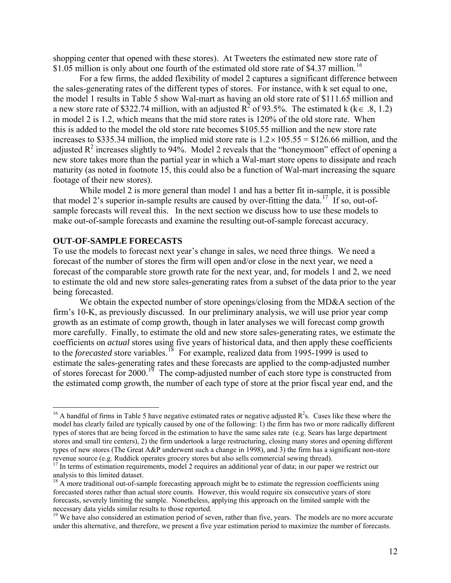<span id="page-12-1"></span><span id="page-12-0"></span>shopping center that opened with these stores). At Tweeters the estimated new store rate of \$1.05 million is only about one fourth of the estimated old store rate of \$4.37 million.<sup>[16](#page-12-0)</sup>

For a few firms, the added flexibility of model 2 captures a significant difference between the sales-generating rates of the different types of stores. For instance, with k set equal to one, the model 1 results in Table 5 show Wal-mart as having an old store rate of \$111.65 million and a new store rate of \$322.74 million, with an adjusted  $R^2$  of 93.5%. The estimated k (k  $\in$  .8, 1.2) in model 2 is 1.2, which means that the mid store rates is 120% of the old store rate. When this is added to the model the old store rate becomes \$105.55 million and the new store rate increases to \$335.34 million, the implied mid store rate is  $1.2 \times 105.55 = $126.66$  million, and the adjusted  $R^2$  increases slightly to 94%. Model 2 reveals that the "honeymoon" effect of opening a new store takes more than the partial year in which a Wal-mart store opens to dissipate and reach maturity (as noted in footnote 15, this could also be a function of Wal-mart increasing the square footage of their new stores).

While model 2 is more general than model 1 and has a better fit in-sample, it is possible that model 2's superior in-sample results are caused by over-fitting the data.<sup>[17](#page-12-0)</sup> If so, out-ofsample forecasts will reveal this. In the next section we discuss how to use these models to make out-of-sample forecasts and examine the resulting out-of-sample forecast accuracy.

## **OUT-OF-SAMPLE FORECASTS**

 $\overline{a}$ 

To use the models to forecast next year's change in sales, we need three things. We need a forecast of the number of stores the firm will open and/or close in the next year, we need a forecast of the comparable store growth rate for the next year, and, for models 1 and 2, we need to estimate the old and new store sales-generating rates from a subset of the data prior to the year being forecasted.

We obtain the expected number of store openings/closing from the MD&A section of the firm's 10-K, as previously discussed. In our preliminary analysis, we will use prior year comp growth as an estimate of comp growth, though in later analyses we will forecast comp growth more carefully. Finally, to estimate the old and new store sales-generating rates, we estimate the coefficients on *actual* stores using five years of historical data, and then apply these coefficients to the *forecasted* store variables.<sup>[18](#page-12-0)</sup> For example, realized data from 1995-1999 is used to estimate the sales-generating rates and these forecasts are applied to the comp-adjusted number of stores forecast for  $2000$ .<sup>[19](#page-12-0)</sup> The comp-adjusted number of each store type is constructed from the estimated comp growth, the number of each type of store at the prior fiscal year end, and the

<sup>&</sup>lt;sup>16</sup> A handful of firms in Table 5 have negative estimated rates or negative adjusted  $R^2$ s. Cases like these where the model has clearly failed are typically caused by one of the following: 1) the firm has two or more radically different types of stores that are being forced in the estimation to have the same sales rate (e.g. Sears has large department stores and small tire centers), 2) the firm undertook a large restructuring, closing many stores and opening different types of new stores (The Great A&P underwent such a change in 1998), and 3) the firm has a significant non-store revenue source (e.g. Ruddick operates grocery stores but also sells commercial sewing thread).

<sup>&</sup>lt;sup>17</sup> In terms of estimation requirements, model 2 requires an additional year of data; in our paper we restrict our analysis to this limited dataset.

<sup>&</sup>lt;sup>18</sup> A more traditional out-of-sample forecasting approach might be to estimate the regression coefficients using forecasted stores rather than actual store counts. However, this would require six consecutive years of store forecasts, severely limiting the sample. Nonetheless, applying this approach on the limited sample with the necessary data yields similar results to those reported.

<sup>&</sup>lt;sup>19</sup> We have also considered an estimation period of seven, rather than five, years. The models are no more accurate under this alternative, and therefore, we present a five year estimation period to maximize the number of forecasts.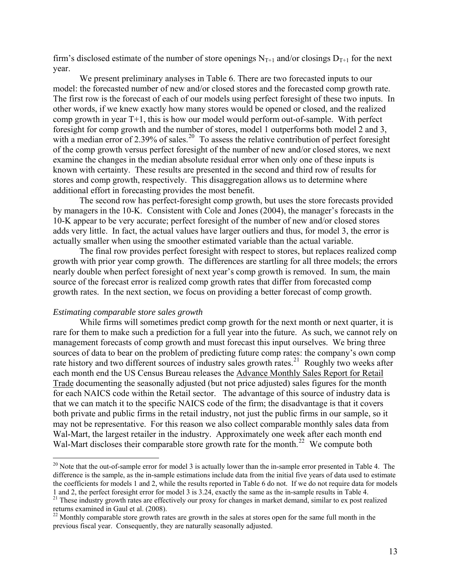<span id="page-13-0"></span>firm's disclosed estimate of the number of store openings  $N_{T+1}$  and/or closings  $D_{T+1}$  for the next year.

 We present preliminary analyses in Table 6. There are two forecasted inputs to our model: the forecasted number of new and/or closed stores and the forecasted comp growth rate. The first row is the forecast of each of our models using perfect foresight of these two inputs. In other words, if we knew exactly how many stores would be opened or closed, and the realized comp growth in year T+1, this is how our model would perform out-of-sample. With perfect foresight for comp growth and the number of stores, model 1 outperforms both model 2 and 3, with a median error of 2.39% of sales.<sup>[20](#page-13-0)</sup> To assess the relative contribution of perfect foresight of the comp growth versus perfect foresight of the number of new and/or closed stores, we next examine the changes in the median absolute residual error when only one of these inputs is known with certainty. These results are presented in the second and third row of results for stores and comp growth, respectively. This disaggregation allows us to determine where additional effort in forecasting provides the most benefit.

The second row has perfect-foresight comp growth, but uses the store forecasts provided by managers in the 10-K. Consistent with Cole and Jones (2004), the manager's forecasts in the 10-K appear to be very accurate; perfect foresight of the number of new and/or closed stores adds very little. In fact, the actual values have larger outliers and thus, for model 3, the error is actually smaller when using the smoother estimated variable than the actual variable.

The final row provides perfect foresight with respect to stores, but replaces realized comp growth with prior year comp growth. The differences are startling for all three models; the errors nearly double when perfect foresight of next year's comp growth is removed. In sum, the main source of the forecast error is realized comp growth rates that differ from forecasted comp growth rates. In the next section, we focus on providing a better forecast of comp growth.

## *Estimating comparable store sales growth*

 $\overline{a}$ 

While firms will sometimes predict comp growth for the next month or next quarter, it is rare for them to make such a prediction for a full year into the future. As such, we cannot rely on management forecasts of comp growth and must forecast this input ourselves.We bring three sources of data to bear on the problem of predicting future comp rates: the company's own comp rate history and two different sources of industry sales growth rates.<sup>[21](#page-13-0)</sup> Roughly two weeks after each month end the US Census Bureau releases the Advance Monthly Sales Report for Retail Trade documenting the seasonally adjusted (but not price adjusted) sales figures for the month for each NAICS code within the Retail sector. The advantage of this source of industry data is that we can match it to the specific NAICS code of the firm; the disadvantage is that it covers both private and public firms in the retail industry, not just the public firms in our sample, so it may not be representative. For this reason we also collect comparable monthly sales data from Wal-Mart, the largest retailer in the industry. Approximately one week after each month end Wal-Mart discloses their comparable store growth rate for the month.<sup>[22](#page-13-0)</sup> We compute both

<sup>&</sup>lt;sup>20</sup> Note that the out-of-sample error for model 3 is actually lower than the in-sample error presented in Table 4. The difference is the sample, as the in-sample estimations include data from the initial five years of data used to estimate the coefficients for models 1 and 2, while the results reported in Table 6 do not. If we do not require data for models

<sup>1</sup> and 2, the perfect foresight error for model 3 is 3.24, exactly the same as the in-sample results in Table 4.<br><sup>21</sup> These industry growth rates are effectively our proxy for changes in market demand, similar to ex post r returns examined in Gaul et al. (2008).

 $22$  Monthly comparable store growth rates are growth in the sales at stores open for the same full month in the previous fiscal year. Consequently, they are naturally seasonally adjusted.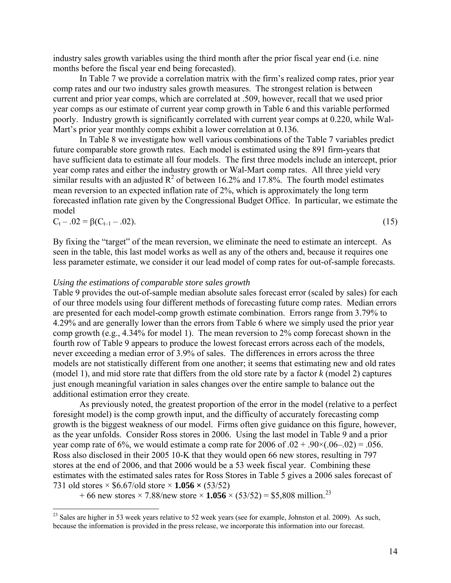<span id="page-14-0"></span>industry sales growth variables using the third month after the prior fiscal year end (i.e. nine months before the fiscal year end being forecasted).

 In Table 7 we provide a correlation matrix with the firm's realized comp rates, prior year comp rates and our two industry sales growth measures. The strongest relation is between current and prior year comps, which are correlated at .509, however, recall that we used prior year comps as our estimate of current year comp growth in Table 6 and this variable performed poorly. Industry growth is significantly correlated with current year comps at 0.220, while Wal-Mart's prior year monthly comps exhibit a lower correlation at 0.136.

 In Table 8 we investigate how well various combinations of the Table 7 variables predict future comparable store growth rates. Each model is estimated using the 891 firm-years that have sufficient data to estimate all four models. The first three models include an intercept, prior year comp rates and either the industry growth or Wal-Mart comp rates. All three yield very similar results with an adjusted  $R^2$  of between 16.2% and 17.8%. The fourth model estimates mean reversion to an expected inflation rate of 2%, which is approximately the long term forecasted inflation rate given by the Congressional Budget Office. In particular, we estimate the model

$$
C_t - .02 = \beta (C_{t-1} - .02). \tag{15}
$$

By fixing the "target" of the mean reversion, we eliminate the need to estimate an intercept. As seen in the table, this last model works as well as any of the others and, because it requires one less parameter estimate, we consider it our lead model of comp rates for out-of-sample forecasts.

# *Using the estimations of comparable store sales growth*

1

Table 9 provides the out-of-sample median absolute sales forecast error (scaled by sales) for each of our three models using four different methods of forecasting future comp rates. Median errors are presented for each model-comp growth estimate combination. Errors range from 3.79% to 4.29% and are generally lower than the errors from Table 6 where we simply used the prior year comp growth (e.g., 4.34% for model 1). The mean reversion to 2% comp forecast shown in the fourth row of Table 9 appears to produce the lowest forecast errors across each of the models, never exceeding a median error of 3.9% of sales. The differences in errors across the three models are not statistically different from one another; it seems that estimating new and old rates (model 1), and mid store rate that differs from the old store rate by a factor *k* (model 2) captures just enough meaningful variation in sales changes over the entire sample to balance out the additional estimation error they create.

 As previously noted, the greatest proportion of the error in the model (relative to a perfect foresight model) is the comp growth input, and the difficulty of accurately forecasting comp growth is the biggest weakness of our model. Firms often give guidance on this figure, however, as the year unfolds. Consider Ross stores in 2006. Using the last model in Table 9 and a prior year comp rate of 6%, we would estimate a comp rate for 2006 of  $.02 + .90 \times (.06 - .02) = .056$ . Ross also disclosed in their 2005 10-K that they would open 66 new stores, resulting in 797 stores at the end of 2006, and that 2006 would be a 53 week fiscal year. Combining these estimates with the estimated sales rates for Ross Stores in Table 5 gives a 2006 sales forecast of 731 old stores × \$6.67/old store × **1.056 ×** (53/52)

+ 66 new stores  $\times$  7.88/new store  $\times$  **1.056**  $\times$  (53/52) = \$5,808 million.<sup>[23](#page-14-0)</sup>

 $23$  Sales are higher in 53 week years relative to 52 week years (see for example, Johnston et al. 2009). As such, because the information is provided in the press release, we incorporate this information into our forecast.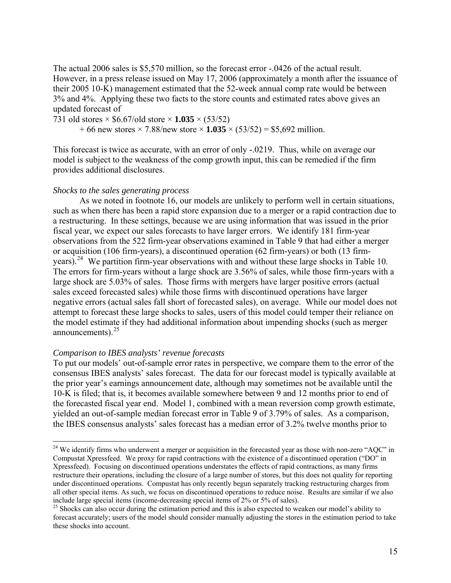<span id="page-15-0"></span>The actual 2006 sales is \$5,570 million, so the forecast error -.0426 of the actual result. However, in a press release issued on May 17, 2006 (approximately a month after the issuance of their 2005 10-K) management estimated that the 52-week annual comp rate would be between 3% and 4%. Applying these two facts to the store counts and estimated rates above gives an updated forecast of

731 old stores × \$6.67/old store × **1.035** × (53/52)

+ 66 new stores × 7.88/new store × **1.035** × (53/52) = \$5,692 million.

This forecast is twice as accurate, with an error of only -.0219. Thus, while on average our model is subject to the weakness of the comp growth input, this can be remedied if the firm provides additional disclosures.

# *Shocks to the sales generating process*

 As we noted in footnote [16](#page-12-1), our models are unlikely to perform well in certain situations, such as when there has been a rapid store expansion due to a merger or a rapid contraction due to a restructuring. In these settings, because we are using information that was issued in the prior fiscal year, we expect our sales forecasts to have larger errors. We identify 181 firm-year observations from the 522 firm-year observations examined in Table 9 that had either a merger or acquisition (106 firm-years), a discontinued operation (62 firm-years) or both (13 firmyears).[24](#page-15-0) We partition firm-year observations with and without these large shocks in Table 10. The errors for firm-years without a large shock are 3.56% of sales, while those firm-years with a large shock are 5.03% of sales. Those firms with mergers have larger positive errors (actual sales exceed forecasted sales) while those firms with discontinued operations have larger negative errors (actual sales fall short of forecasted sales), on average. While our model does not attempt to forecast these large shocks to sales, users of this model could temper their reliance on the model estimate if they had additional information about impending shocks (such as merger announcements). $^{25}$  $^{25}$  $^{25}$ 

# *Comparison to IBES analysts' revenue forecasts*

1

To put our models' out-of-sample error rates in perspective, we compare them to the error of the consensus IBES analysts' sales forecast. The data for our forecast model is typically available at the prior year's earnings announcement date, although may sometimes not be available until the 10-K is filed; that is, it becomes available somewhere between 9 and 12 months prior to end of the forecasted fiscal year end. Model 1, combined with a mean reversion comp growth estimate, yielded an out-of-sample median forecast error in Table 9 of 3.79% of sales. As a comparison, the IBES consensus analysts' sales forecast has a median error of 3.2% twelve months prior to

 $24$  We identify firms who underwent a merger or acquisition in the forecasted year as those with non-zero "AQC" in Compustat Xpressfeed. We proxy for rapid contractions with the existence of a discontinued operation ("DO" in Xpressfeed). Focusing on discontinued operations understates the effects of rapid contractions, as many firms restructure their operations, including the closure of a large number of stores, but this does not quality for reporting under discontinued operations. Compustat has only recently begun separately tracking restructuring charges from all other special items. As such, we focus on discontinued operations to reduce noise. Results are similar if we also include large special items (income-decreasing special items of 2% or 5% of sales). 25 Shocks can also occur during the estimation period and this is also expected to weaken our model's ability to

forecast accurately; users of the model should consider manually adjusting the stores in the estimation period to take these shocks into account.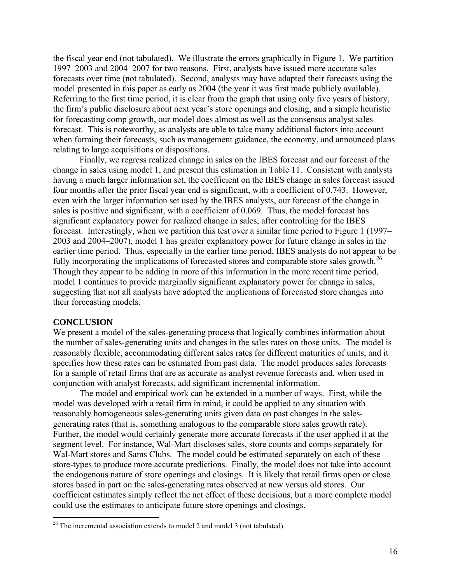<span id="page-16-0"></span>the fiscal year end (not tabulated). We illustrate the errors graphically in Figure 1. We partition 1997–2003 and 2004–2007 for two reasons. First, analysts have issued more accurate sales forecasts over time (not tabulated). Second, analysts may have adapted their forecasts using the model presented in this paper as early as 2004 (the year it was first made publicly available). Referring to the first time period, it is clear from the graph that using only five years of history, the firm's public disclosure about next year's store openings and closing, and a simple heuristic for forecasting comp growth, our model does almost as well as the consensus analyst sales forecast. This is noteworthy, as analysts are able to take many additional factors into account when forming their forecasts, such as management guidance, the economy, and announced plans relating to large acquisitions or dispositions.

 Finally, we regress realized change in sales on the IBES forecast and our forecast of the change in sales using model 1, and present this estimation in Table 11. Consistent with analysts having a much larger information set, the coefficient on the IBES change in sales forecast issued four months after the prior fiscal year end is significant, with a coefficient of 0.743. However, even with the larger information set used by the IBES analysts, our forecast of the change in sales is positive and significant, with a coefficient of 0.069. Thus, the model forecast has significant explanatory power for realized change in sales, after controlling for the IBES forecast. Interestingly, when we partition this test over a similar time period to Figure 1 (1997– 2003 and 2004–2007), model 1 has greater explanatory power for future change in sales in the earlier time period. Thus, especially in the earlier time period, IBES analysts do not appear to be fully incorporating the implications of forecasted stores and comparable store sales growth.<sup>[26](#page-16-0)</sup> Though they appear to be adding in more of this information in the more recent time period, model 1 continues to provide marginally significant explanatory power for change in sales, suggesting that not all analysts have adopted the implications of forecasted store changes into their forecasting models.

#### **CONCLUSION**

We present a model of the sales-generating process that logically combines information about the number of sales-generating units and changes in the sales rates on those units. The model is reasonably flexible, accommodating different sales rates for different maturities of units, and it specifies how these rates can be estimated from past data. The model produces sales forecasts for a sample of retail firms that are as accurate as analyst revenue forecasts and, when used in conjunction with analyst forecasts, add significant incremental information.

 The model and empirical work can be extended in a number of ways. First, while the model was developed with a retail firm in mind, it could be applied to any situation with reasonably homogeneous sales-generating units given data on past changes in the salesgenerating rates (that is, something analogous to the comparable store sales growth rate). Further, the model would certainly generate more accurate forecasts if the user applied it at the segment level. For instance, Wal-Mart discloses sales, store counts and comps separately for Wal-Mart stores and Sams Clubs. The model could be estimated separately on each of these store-types to produce more accurate predictions. Finally, the model does not take into account the endogenous nature of store openings and closings. It is likely that retail firms open or close stores based in part on the sales-generating rates observed at new versus old stores. Our coefficient estimates simply reflect the net effect of these decisions, but a more complete model could use the estimates to anticipate future store openings and closings.

 $26$  The incremental association extends to model 2 and model 3 (not tabulated).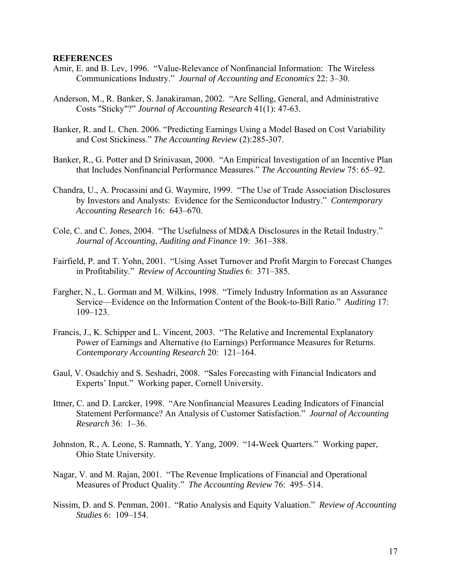#### **REFERENCES**

- Amir, E. and B. Lev, 1996. "Value-Relevance of Nonfinancial Information: The Wireless Communications Industry." *Journal of Accounting and Economics* 22: 3–30.
- Anderson, M., R. Banker, S. Janakiraman, 2002. "Are Selling, General, and Administrative Costs "Sticky"?" *Journal of Accounting Research* 41(1): 47-63.
- Banker, R. and L. Chen. 2006. "Predicting Earnings Using a Model Based on Cost Variability and Cost Stickiness." *The Accounting Review* (2):285-307.
- Banker, R., G. Potter and D Srinivasan, 2000. "An Empirical Investigation of an Incentive Plan that Includes Nonfinancial Performance Measures." *The Accounting Review* 75: 65–92.
- Chandra, U., A. Procassini and G. Waymire, 1999. "The Use of Trade Association Disclosures by Investors and Analysts: Evidence for the Semiconductor Industry." *Contemporary Accounting Research* 16: 643–670.
- Cole, C. and C. Jones, 2004. "The Usefulness of MD&A Disclosures in the Retail Industry." *Journal of Accounting, Auditing and Finance* 19: 361–388.
- Fairfield, P. and T. Yohn, 2001. "Using Asset Turnover and Profit Margin to Forecast Changes in Profitability." *Review of Accounting Studies* 6: 371–385.
- Fargher, N., L. Gorman and M. Wilkins, 1998. "Timely Industry Information as an Assurance Service—Evidence on the Information Content of the Book-to-Bill Ratio." *Auditing* 17: 109–123.
- Francis, J., K. Schipper and L. Vincent, 2003. "The Relative and Incremental Explanatory Power of Earnings and Alternative (to Earnings) Performance Measures for Returns. *Contemporary Accounting Research* 20: 121–164.
- Gaul, V. Osadchiy and S. Seshadri, 2008. "Sales Forecasting with Financial Indicators and Experts' Input." Working paper, Cornell University.
- Ittner, C. and D. Larcker, 1998. "Are Nonfinancial Measures Leading Indicators of Financial Statement Performance? An Analysis of Customer Satisfaction." *Journal of Accounting Research* 36: 1–36.
- Johnston, R., A. Leone, S. Ramnath, Y. Yang, 2009. "14-Week Quarters." Working paper, Ohio State University.
- Nagar, V. and M. Rajan, 2001. "The Revenue Implications of Financial and Operational Measures of Product Quality." *The Accounting Review* 76: 495–514.
- Nissim, D. and S. Penman, 2001. "Ratio Analysis and Equity Valuation." *Review of Accounting Studies* 6: 109–154.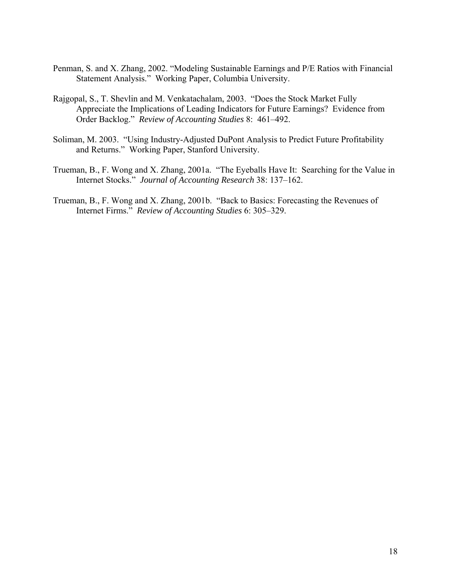- Penman, S. and X. Zhang, 2002. "Modeling Sustainable Earnings and P/E Ratios with Financial Statement Analysis." Working Paper, Columbia University.
- Rajgopal, S., T. Shevlin and M. Venkatachalam, 2003. "Does the Stock Market Fully Appreciate the Implications of Leading Indicators for Future Earnings? Evidence from Order Backlog." *Review of Accounting Studies* 8: 461–492.
- Soliman, M. 2003. "Using Industry-Adjusted DuPont Analysis to Predict Future Profitability and Returns." Working Paper, Stanford University.
- Trueman, B., F. Wong and X. Zhang, 2001a. "The Eyeballs Have It: Searching for the Value in Internet Stocks." *Journal of Accounting Research* 38: 137–162.
- Trueman, B., F. Wong and X. Zhang, 2001b. "Back to Basics: Forecasting the Revenues of Internet Firms." *Review of Accounting Studies* 6: 305–329.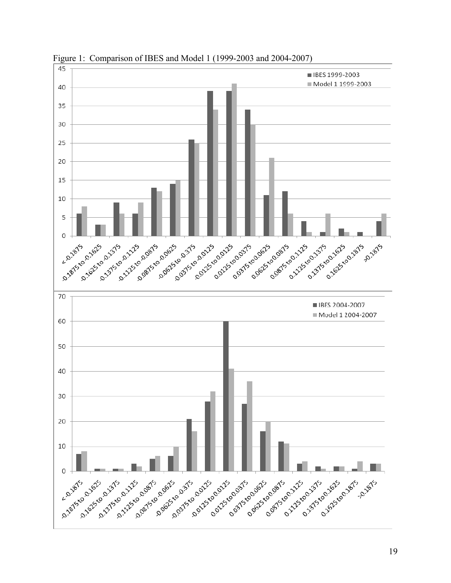

Figure 1: Comparison of IBES and Model 1 (1999-2003 and 2004-2007)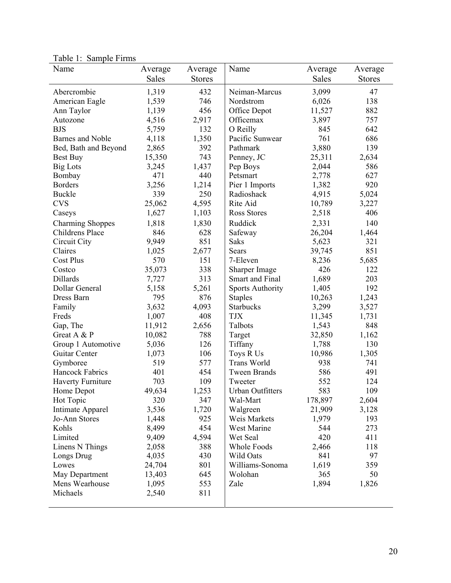|                          |              |               |                         | Average | Average       |
|--------------------------|--------------|---------------|-------------------------|---------|---------------|
|                          | <b>Sales</b> | <b>Stores</b> |                         | Sales   | <b>Stores</b> |
| Abercrombie              | 1,319        | 432           | Neiman-Marcus           | 3,099   | 47            |
| American Eagle           | 1,539        | 746           | Nordstrom               | 6,026   | 138           |
| Ann Taylor               | 1,139        | 456           | Office Depot            | 11,527  | 882           |
| Autozone                 | 4,516        | 2,917         | Officemax               | 3,897   | 757           |
| <b>BJS</b>               | 5,759        | 132           | O Reilly                | 845     | 642           |
| <b>Barnes and Noble</b>  | 4,118        | 1,350         | Pacific Sunwear         | 761     | 686           |
| Bed, Bath and Beyond     | 2,865        | 392           | Pathmark                | 3,880   | 139           |
| Best Buy                 | 15,350       | 743           | Penney, JC              | 25,311  | 2,634         |
| <b>Big Lots</b>          | 3,245        | 1,437         | Pep Boys                | 2,044   | 586           |
| Bombay                   | 471          | 440           | Petsmart                | 2,778   | 627           |
| <b>Borders</b>           | 3,256        | 1,214         | Pier 1 Imports          | 1,382   | 920           |
| Buckle                   | 339          | 250           | Radioshack              | 4,915   | 5,024         |
| <b>CVS</b>               | 25,062       | 4,595         | Rite Aid                | 10,789  | 3,227         |
| Caseys                   | 1,627        | 1,103         | <b>Ross Stores</b>      | 2,518   | 406           |
| <b>Charming Shoppes</b>  | 1,818        | 1,830         | Ruddick                 | 2,331   | 140           |
| Childrens Place          | 846          | 628           | Safeway                 | 26,204  | 1,464         |
| Circuit City             | 9,949        | 851           | <b>Saks</b>             | 5,623   | 321           |
| Claires                  | 1,025        | 2,677         | <b>Sears</b>            | 39,745  | 851           |
| <b>Cost Plus</b>         | 570          | 151           | 7-Eleven                | 8,236   | 5,685         |
| Costco                   | 35,073       | 338           | Sharper Image           | 426     | 122           |
| Dillards                 | 7,727        | 313           | Smart and Final         | 1,689   | 203           |
| Dollar General           | 5,158        | 5,261         | <b>Sports Authority</b> | 1,405   | 192           |
| Dress Barn               | 795          | 876           | <b>Staples</b>          | 10,263  | 1,243         |
| Family                   | 3,632        | 4,093         | <b>Starbucks</b>        | 3,299   | 3,527         |
| Freds                    | 1,007        | 408           | <b>TJX</b>              | 11,345  | 1,731         |
| Gap, The                 | 11,912       | 2,656         | Talbots                 | 1,543   | 848           |
| Great A & P              | 10,082       | 788           | Target                  | 32,850  | 1,162         |
| Group 1 Automotive       | 5,036        | 126           | Tiffany                 | 1,788   | 130           |
| Guitar Center            | 1,073        | 106           | Toys R Us               | 10,986  | 1,305         |
| Gymboree                 | 519          | 577           | <b>Trans World</b>      | 938     | 741           |
| Hancock Fabrics          | 401          | 454           | <b>Tween Brands</b>     | 586     | 491           |
| <b>Haverty Furniture</b> | 703          | 109           | Tweeter                 | 552     | 124           |
| Home Depot               | 49,634       | 1,253         | <b>Urban Outfitters</b> | 583     | 109           |
| Hot Topic                | 320          | 347           | Wal-Mart                | 178,897 | 2,604         |
| Intimate Apparel         | 3,536        | 1,720         | Walgreen                | 21,909  | 3,128         |
| Jo-Ann Stores            | 1,448        | 925           | Weis Markets            | 1,979   | 193           |
| Kohls                    | 8,499        | 454           | West Marine             | 544     | 273           |
| Limited                  | 9,409        | 4,594         | Wet Seal                | 420     | 411           |
| Linens N Things          | 2,058        | 388           | Whole Foods             | 2,466   | 118           |
| Longs Drug               | 4,035        | 430           | Wild Oats               | 841     | 97            |
| Lowes                    | 24,704       | 801           | Williams-Sonoma         | 1,619   | 359           |
| May Department           | 13,403       | 645           | Wolohan                 | 365     | 50            |
| Mens Wearhouse           | 1,095        | 553           | Zale                    | 1,894   | 1,826         |
| Michaels                 | 2,540        | 811           |                         |         |               |

Table 1: Sample Firms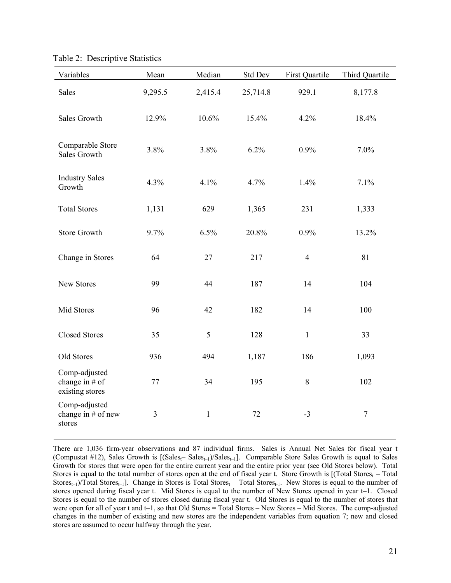| Variables                                            | Mean           | Median       | <b>Std Dev</b> | First Quartile | Third Quartile   |
|------------------------------------------------------|----------------|--------------|----------------|----------------|------------------|
| Sales                                                | 9,295.5        | 2,415.4      | 25,714.8       | 929.1          | 8,177.8          |
| <b>Sales Growth</b>                                  | 12.9%          | 10.6%        | 15.4%          | 4.2%           | 18.4%            |
| Comparable Store<br><b>Sales Growth</b>              | 3.8%           | 3.8%         | 6.2%           | 0.9%           | 7.0%             |
| <b>Industry Sales</b><br>Growth                      | 4.3%           | 4.1%         | 4.7%           | 1.4%           | 7.1%             |
| <b>Total Stores</b>                                  | 1,131          | 629          | 1,365          | 231            | 1,333            |
| <b>Store Growth</b>                                  | 9.7%           | 6.5%         | 20.8%          | 0.9%           | 13.2%            |
| Change in Stores                                     | 64             | 27           | 217            | $\overline{4}$ | 81               |
| New Stores                                           | 99             | 44           | 187            | 14             | 104              |
| Mid Stores                                           | 96             | 42           | 182            | 14             | 100              |
| <b>Closed Stores</b>                                 | 35             | 5            | 128            | $\mathbf{1}$   | 33               |
| Old Stores                                           | 936            | 494          | 1,187          | 186            | 1,093            |
| Comp-adjusted<br>change in $#$ of<br>existing stores | 77             | 34           | 195            | $\,8\,$        | 102              |
| Comp-adjusted<br>change in # of new<br>stores        | $\mathfrak{Z}$ | $\mathbf{1}$ | 72             | $-3$           | $\boldsymbol{7}$ |

Table 2: Descriptive Statistics

There are 1,036 firm-year observations and 87 individual firms. Sales is Annual Net Sales for fiscal year t (Compustat #12), Sales Growth is  $[(Sales_{t}-Sales_{t-1})/Sales_{t-1}]$ . Comparable Store Sales Growth is equal to Sales Growth for stores that were open for the entire current year and the entire prior year (see Old Stores below). Total Stores is equal to the total number of stores open at the end of fiscal year t. Store Growth is  $[(Total Stores_t - Total$  $\text{Stores}_{t-1}$ /Total Stores<sub>t-1</sub>]. Change in Stores is Total Stores<sub>t</sub> – Total Stores<sub>t-1</sub>. New Stores is equal to the number of stores opened during fiscal year t. Mid Stores is equal to the number of New Stores opened in year t–1. Closed Stores is equal to the number of stores closed during fiscal year t. Old Stores is equal to the number of stores that were open for all of year t and t–1, so that Old Stores = Total Stores – New Stores – Mid Stores. The comp-adjusted changes in the number of existing and new stores are the independent variables from equation 7; new and closed stores are assumed to occur halfway through the year.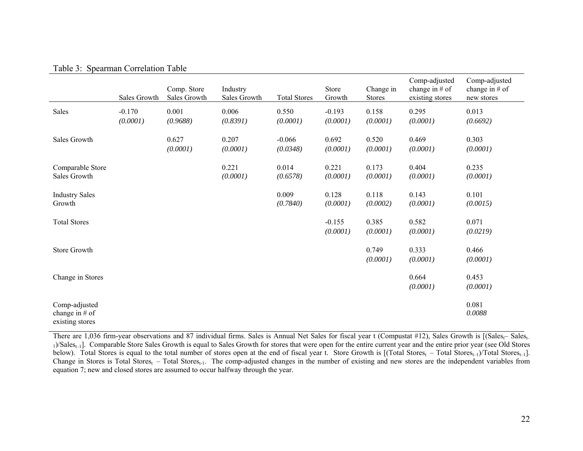#### Table 3: Spearman Correlation Table

|                                                      | Sales Growth         | Comp. Store<br>Sales Growth | Industry<br>Sales Growth | <b>Total Stores</b>  | Store<br>Growth      | Change in<br><b>Stores</b> | Comp-adjusted<br>change in $#$ of<br>existing stores | Comp-adjusted<br>change in $#$ of<br>new stores |
|------------------------------------------------------|----------------------|-----------------------------|--------------------------|----------------------|----------------------|----------------------------|------------------------------------------------------|-------------------------------------------------|
| Sales                                                | $-0.170$<br>(0.0001) | 0.001<br>(0.9688)           | 0.006<br>(0.8391)        | 0.550<br>(0.0001)    | $-0.193$<br>(0.0001) | 0.158<br>(0.0001)          | 0.295<br>(0.0001)                                    | 0.013<br>(0.6692)                               |
| Sales Growth                                         |                      | 0.627<br>(0.0001)           | 0.207<br>(0.0001)        | $-0.066$<br>(0.0348) | 0.692<br>(0.0001)    | 0.520<br>(0.0001)          | 0.469<br>(0.0001)                                    | 0.303<br>(0.0001)                               |
| Comparable Store<br>Sales Growth                     |                      |                             | 0.221<br>(0.0001)        | 0.014<br>(0.6578)    | 0.221<br>(0.0001)    | 0.173<br>(0.0001)          | 0.404<br>(0.0001)                                    | 0.235<br>(0.0001)                               |
| <b>Industry Sales</b><br>Growth                      |                      |                             |                          | 0.009<br>(0.7840)    | 0.128<br>(0.0001)    | 0.118<br>(0.0002)          | 0.143<br>(0.0001)                                    | 0.101<br>(0.0015)                               |
| <b>Total Stores</b>                                  |                      |                             |                          |                      | $-0.155$<br>(0.0001) | 0.385<br>(0.0001)          | 0.582<br>(0.0001)                                    | 0.071<br>(0.0219)                               |
| Store Growth                                         |                      |                             |                          |                      |                      | 0.749<br>(0.0001)          | 0.333<br>(0.0001)                                    | 0.466<br>(0.0001)                               |
| Change in Stores                                     |                      |                             |                          |                      |                      |                            | 0.664<br>(0.0001)                                    | 0.453<br>(0.0001)                               |
| Comp-adjusted<br>change in $#$ of<br>existing stores |                      |                             |                          |                      |                      |                            |                                                      | 0.081<br>0.0088                                 |

There are 1,036 firm-year observations and 87 individual firms. Sales is Annual Net Sales for fiscal year t (Compustat #12), Sales Growth is [(Salest– Salest– 1)/Sales<sub>t-1</sub>]. Comparable Store Sales Growth is equal to Sales Growth for stores that were open for the entire current year and the entire prior year (see Old Stores below). Total Stores is equal to the total number of stores open at the end of fiscal year t. Store Growth is  $[(Total stores<sub>t</sub> - Total States<sub>t-1</sub>)]$ . Change in Stores is Total Stores<sub>t</sub> – Total Stores<sub>t-1</sub>. The comp-adjusted changes in the number of existing and new stores are the independent variables from equation 7; new and closed stores are assumed to occur halfway through the year.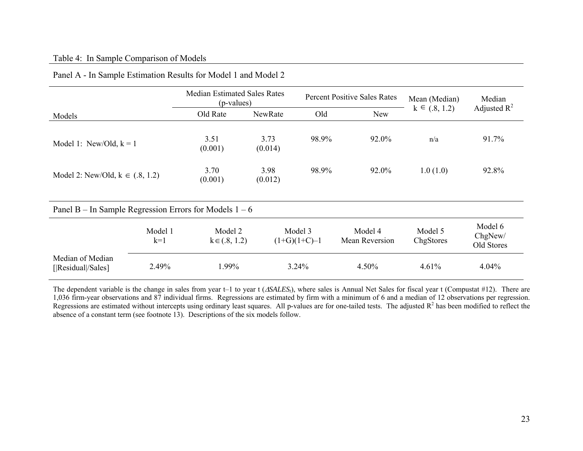# Table 4: In Sample Comparison of Models

|                                                          |                  | <b>Median Estimated Sales Rates</b><br>(p-values) |                 | <b>Percent Positive Sales Rates</b> |                           | Mean (Median)        | Median                           |
|----------------------------------------------------------|------------------|---------------------------------------------------|-----------------|-------------------------------------|---------------------------|----------------------|----------------------------------|
| Models                                                   |                  | Old Rate                                          | NewRate         | Old                                 | <b>New</b>                | $k \in (0.8, 1.2)$   | Adjusted $R^2$                   |
| Model 1: New/Old, $k = 1$                                |                  | 3.51<br>(0.001)                                   | 3.73<br>(0.014) | 98.9%                               | 92.0%                     | n/a                  | 91.7%                            |
| Model 2: New/Old, $k \in (.8, 1.2)$                      |                  | 3.70<br>(0.001)                                   | 3.98<br>(0.012) | 98.9%                               | 92.0%                     | 1.0(1.0)             | 92.8%                            |
| Panel B – In Sample Regression Errors for Models $1 - 6$ |                  |                                                   |                 |                                     |                           |                      |                                  |
|                                                          | Model 1<br>$k=1$ | Model 2<br>$k \in (.8, 1.2)$                      |                 | Model 3<br>$(1+G)(1+C)-1$           | Model 4<br>Mean Reversion | Model 5<br>ChgStores | Model 6<br>ChgNew/<br>Old Stores |
| Median of Median<br>[ Residual /Sales]                   | 2.49%            | 1.99%                                             | 3.24%           |                                     | 4.50%                     | 4.61%                | $4.04\%$                         |

# Panel A - In Sample Estimation Results for Model 1 and Model 2

The dependent variable is the change in sales from year t–1 to year t ( $\triangle SALES<sub>t</sub>$ ), where sales is Annual Net Sales for fiscal year t (Compustat #12). There are 1,036 firm-year observations and 87 individual firms. Regressions are estimated by firm with a minimum of 6 and a median of 12 observations per regression. Regressions are estimated without intercepts using ordinary least squares. All p-values are for one-tailed tests. The adjusted  $R<sup>2</sup>$  has been modified to reflect the absence of a constant term (see footnote 13). Descriptions of the six models follow.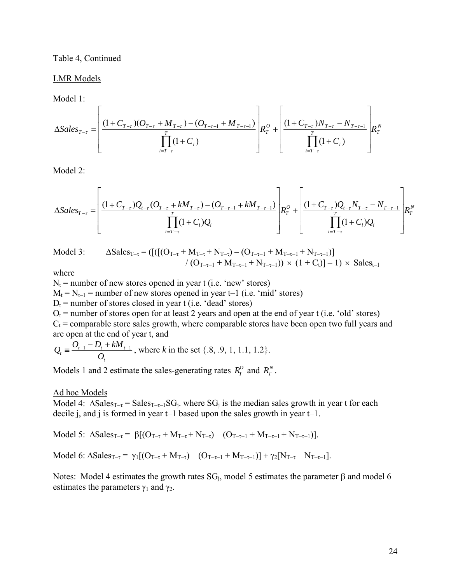Table 4, Continued

LMR Models

Model 1:

$$
\Delta Sales_{T-\tau} = \left[ \frac{(1+C_{T-\tau})(O_{T-\tau} + M_{T-\tau}) - (O_{T-\tau-1} + M_{T-\tau-1})}{\prod_{i=T-\tau}^{T} (1+C_i)} \right] R_T^o + \left[ \frac{(1+C_{T-\tau})N_{T-\tau} - N_{T-\tau-1}}{\prod_{i=T-\tau}^{T} (1+C_i)} \right] R_T^N
$$

Model 2:

$$
\Delta Sales_{T-\tau} = \left[ \frac{(1+C_{T-\tau})Q_{t-\tau}(O_{T-\tau}+kM_{T-\tau})-(O_{T-\tau-1}+kM_{T-\tau-1})}{\prod_{i=T-\tau}^{T}(1+C_i)Q_i} \right] R_T^O + \left[ \frac{(1+C_{T-\tau})Q_{t-\tau}N_{T-\tau}-N_{T-\tau-1}}{\prod_{i=T-\tau}^{T}(1+C_i)Q_i} \right] R_T^N
$$

$$
\text{Model 3:} \qquad \Delta \text{Sales}_{T-\tau} = \left( \left[ \left( \left[ (O_{T-\tau} + M_{T-\tau} + N_{T-\tau}) - (O_{T-\tau-1} + M_{T-\tau-1} + N_{T-\tau-1}) \right] \right. \right. \\ \left. \qquad \qquad \left. \left( O_{T-\tau-1} + M_{T-\tau-1} + N_{T-\tau-1} \right) \right) \times \left( 1 + C_t \right) \right] - 1 \right) \times \text{Sales}_{t-1}
$$

where

 $N_t$  = number of new stores opened in year t (i.e. 'new' stores)  $M_t = N_{t-1}$  = number of new stores opened in year t–1 (i.e. 'mid' stores)  $D_t$  = number of stores closed in year t (i.e. 'dead' stores)  $O_t$  = number of stores open for at least 2 years and open at the end of year t (i.e. 'old' stores)  $C_t$  = comparable store sales growth, where comparable stores have been open two full years and are open at the end of year t, and

$$
Q_t = \frac{O_{t-1} - D_t + kM_{t-1}}{O_t}
$$
, where *k* in the set {.8, .9, 1, 1.1, 1.2}.

Models 1 and 2 estimate the sales-generating rates  $R_T^O$  and  $R_T^N$ .

#### Ad hoc Models

Model 4:  $\Delta Sales_{T-\tau} = Sales_{T-\tau-1}SG_i$ , where  $SG_i$  is the median sales growth in year t for each decile j, and j is formed in year t–1 based upon the sales growth in year t–1.

Model 5:  $\Delta$ Sales<sub>T-τ</sub> =  $\beta$ [(O<sub>T-τ</sub> + M<sub>T-τ</sub> + N<sub>T-τ</sub>) – (O<sub>T-τ-1</sub> + M<sub>T-τ-1</sub> + N<sub>T-τ-1</sub>)].

Model 6:  $\Delta$ Sales<sub>T-τ</sub> =  $\gamma_1[(O_{T-\tau} + M_{T-\tau}) - (O_{T-\tau-1} + M_{T-\tau-1})] + \gamma_2[N_{T-\tau} - N_{T-\tau-1}].$ 

Notes: Model 4 estimates the growth rates  $SG_i$ , model 5 estimates the parameter β and model 6 estimates the parameters  $\gamma_1$  and  $\gamma_2$ .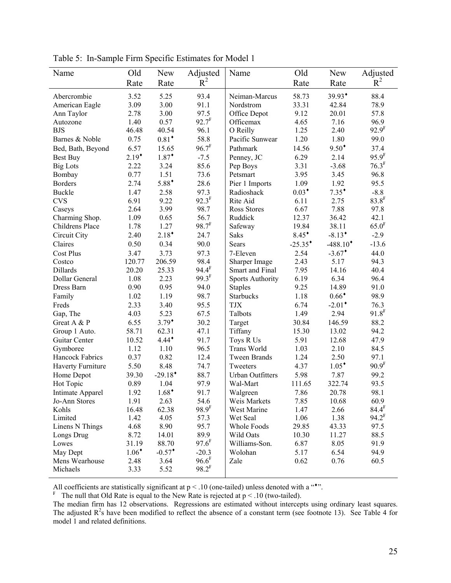| Name              | Old      | <b>New</b>            | Adjusted            | Name                    | Old                   | <b>New</b>             | Adjusted            |
|-------------------|----------|-----------------------|---------------------|-------------------------|-----------------------|------------------------|---------------------|
|                   | Rate     | Rate                  | $R^2$               |                         | Rate                  | Rate                   | $R^2$               |
| Abercrombie       | 3.52     | 5.25                  | 93.4                | Neiman-Marcus           | 58.73                 | 39.93*                 | 88.4                |
| American Eagle    | 3.09     | 3.00                  | 91.1                | Nordstrom               | 33.31                 | 42.84                  | 78.9                |
| Ann Taylor        | 2.78     | 3.00                  | 97.5                | Office Depot            | 9.12                  | 20.01                  | 57.8                |
| Autozone          | 1.40     | 0.57                  | $92.7^F$            | Officemax               | 4.65                  | 7.16                   | 96.9                |
| <b>BJS</b>        | 46.48    | 40.54                 | 96.1                | O Reilly                | 1.25                  | 2.40                   | 92.9 <sup>F</sup>   |
| Barnes & Noble    | 0.75     | $0.81$ <sup>*</sup>   | 58.8                | Pacific Sunwear         | 1.20                  | 1.80                   | 99.0                |
| Bed, Bath, Beyond | 6.57     | 15.65                 | $96.7^F$            | Pathmark                | 14.56                 | $9.50^*$               | 37.4                |
| Best Buy          | $2.19*$  | $1.87*$               | $-7.5$              | Penney, JC              | 6.29                  | 2.14                   | $95.9^{F}$          |
| <b>Big Lots</b>   | 2.22     | 3.24                  | 85.6                | Pep Boys                | 3.31                  | $-3.68$                | $76.3^F$            |
| Bombay            | 0.77     | 1.51                  | 73.6                | Petsmart                | 3.95                  | 3.45                   | 96.8                |
| <b>Borders</b>    | 2.74     | $5.88^*$              | 28.6                | Pier 1 Imports          | 1.09                  | 1.92                   | 95.5                |
| <b>Buckle</b>     | 1.47     | 2.58                  | 97.3                | Radioshack              | $0.03*$               | $7.35^*$               | $-8.8$              |
| <b>CVS</b>        | 6.91     | 9.22                  | $92.3^F$            | Rite Aid                | 6.11                  | 2.75                   | $83.8$ <sup>F</sup> |
| Caseys            | 2.64     | 3.99                  | 98.7                | Ross Stores             | 6.67                  | 7.88                   | 97.8                |
| Charming Shop.    | 1.09     | 0.65                  | 56.7                | Ruddick                 | 12.37                 | 36.42                  | 42.1                |
| Childrens Place   | 1.78     | 1.27                  | $98.7^{F}$          | Safeway                 | 19.84                 | 38.11                  | 65.0 <sup>F</sup>   |
| Circuit City      | 2.40     | $2.18^*$              | 24.7                | <b>Saks</b>             | $8.45^*$              | $-8.13$ <sup>*</sup>   | $-2.9$              |
| Claires           | 0.50     | 0.34                  | 90.0                | <b>Sears</b>            | $-25.35$ <sup>*</sup> | $-488.10$ <sup>*</sup> | $-13.6$             |
| <b>Cost Plus</b>  | 3.47     | 3.73                  | 97.3                | 7-Eleven                | 2.54                  | $-3.67$ <sup>*</sup>   | 44.0                |
| Costco            | 120.77   | 206.59                | 98.4                | Sharper Image           | 2.43                  | 5.17                   | 94.3                |
| Dillards          | 20.20    | 25.33                 | $94.4^{F}$          | Smart and Final         | 7.95                  | 14.16                  | 40.4                |
| Dollar General    | 1.08     | 2.23                  | $99.3^{F}$          | <b>Sports Authority</b> | 6.19                  | 6.34                   | 96.4                |
| Dress Barn        | 0.90     | 0.95                  | 94.0                | <b>Staples</b>          | 9.25                  | 14.89                  | 91.0                |
| Family            | 1.02     | 1.19                  | 98.7                | <b>Starbucks</b>        | 1.18                  | $0.66*$                | 98.9                |
| Freds             | 2.33     | 3.40                  | 95.5                | <b>TJX</b>              | 6.74                  | $-2.01$ <sup>*</sup>   | 76.3                |
| Gap, The          | 4.03     | 5.23                  | 67.5                | Talbots                 | 1.49                  | 2.94                   | $91.8^{F}$          |
| Great A & P       | 6.55     | $3.79^{\dagger}$      | 30.2                | Target                  | 30.84                 | 146.59                 | 88.2                |
| Group 1 Auto.     | 58.71    | 62.31                 | 47.1                | Tiffany                 | 15.30                 | 13.02                  | 94.2                |
| Guitar Center     | 10.52    | $4.44^*$              | 91.7                | Toys R Us               | 5.91                  | 12.68                  | 47.9                |
| Gymboree          | 1.12     | 1.10                  | 96.5                | Trans World             | 1.03                  | 2.10                   | 84.5                |
| Hancock Fabrics   | 0.37     | 0.82                  | 12.4                | <b>Tween Brands</b>     | 1.24                  | 2.50                   | 97.1                |
| Haverty Furniture | 5.50     | 8.48                  | 74.7                | Tweeters                | 4.37                  | $1.05^*$               | 90.9 <sup>F</sup>   |
| Home Depot        | 39.30    | $-29.18$ <sup>*</sup> | 88.7                | <b>Urban Outfitters</b> | 5.98                  | 7.87                   | 99.2                |
| Hot Topic         | 0.89     | 1.04                  | 97.9                | Wal-Mart                | 111.65                | 322.74                 | 93.5                |
| Intimate Apparel  | 1.92     | $1.68*$               | 91.7                | Walgreen                | 7.86                  | 20.78                  | 98.1                |
| Jo-Ann Stores     | 1.91     | 2.63                  | 54.6                | Weis Markets            | 7.85                  | 10.68                  | 60.9                |
| Kohls             | 16.48    | 62.38                 | 98.9 <sup>F</sup>   | West Marine             | 1.47                  | 2.66                   | 84.4 <sup>F</sup>   |
| Limited           | 1.42     | 4.05                  | 57.3                | Wet Seal                | 1.06                  | 1.38                   | $94.2^F$            |
| Linens N Things   | 4.68     | 8.90                  | 95.7                | Whole Foods             | 29.85                 | 43.33                  | 97.5                |
| Longs Drug        | 8.72     | 14.01                 | 89.9                | Wild Oats               | 10.30                 | 11.27                  | 88.5                |
| Lowes             | 31.19    | 88.70                 | $97.6$ <sup>F</sup> | Williams-Son.           | 6.87                  | 8.05                   | 91.9                |
| May Dept          | $1.06^*$ | $-0.57$ <sup>*</sup>  | $-20.3$             | Wolohan                 | 5.17                  | 6.54                   | 94.9                |
| Mens Wearhouse    | 2.48     | 3.64                  | $96.6^F$            | Zale                    | 0.62                  | 0.76                   | 60.5                |
| Michaels          | 3.33     | 5.52                  | $98.2^F$            |                         |                       |                        |                     |
|                   |          |                       |                     |                         |                       |                        |                     |

Table 5: In-Sample Firm Specific Estimates for Model 1

All coefficients are statistically significant at  $p < .10$  (one-tailed) unless denoted with a "\*".<br>
<sup>F</sup> The null that Old Rate is equal to the New Rate is rejected at  $p < .10$  (two-tailed).

The median firm has 12 observations. Regressions are estimated without intercepts using ordinary least squares. The adjusted  $R^2$ s have been modified to reflect the absence of a constant term (see footnote 13). See Table 4 for model 1 and related definitions.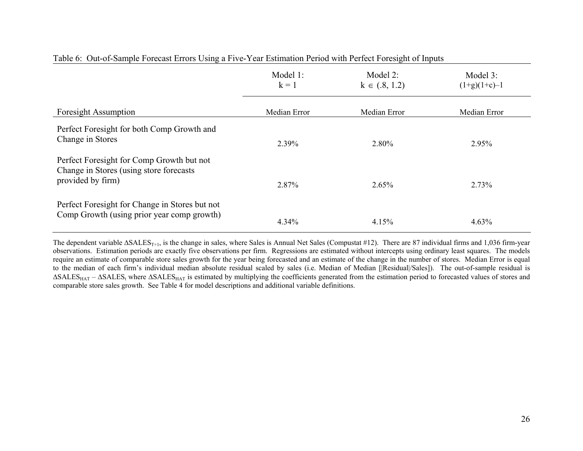|                                                                                              | Model 1:<br>$k = 1$ | Model 2:<br>$k \in (.8, 1.2)$ | Model 3:<br>$(1+g)(1+c)-1$ |
|----------------------------------------------------------------------------------------------|---------------------|-------------------------------|----------------------------|
| <b>Foresight Assumption</b>                                                                  | Median Error        | Median Error                  | Median Error               |
| Perfect Foresight for both Comp Growth and<br>Change in Stores                               | 2.39%               | 2.80%                         | 2.95%                      |
| Perfect Foresight for Comp Growth but not<br>Change in Stores (using store forecasts)        |                     |                               |                            |
| provided by firm)                                                                            | 2.87%               | $2.65\%$                      | 2.73%                      |
| Perfect Foresight for Change in Stores but not<br>Comp Growth (using prior year comp growth) | $4.34\%$            | 4.15%                         | 4.63%                      |

# Table 6: Out-of-Sample Forecast Errors Using a Five-Year Estimation Period with Perfect Foresight of Inputs

The dependent variable  $\Delta SALES_{T+1}$ , is the change in sales, where Sales is Annual Net Sales (Compustat #12). There are 87 individual firms and 1,036 firm-year observations. Estimation periods are exactly five observations per firm. Regressions are estimated without intercepts using ordinary least squares. The models require an estimate of comparable store sales growth for the year being forecasted and an estimate of the change in the number of stores. Median Error is equal to the median of each firm's individual median absolute residual scaled by sales (i.e. Median of Median [[Residual|/Sales]). The out-of-sample residual is  $\Delta SALES<sub>HAT</sub> - \Delta SALES<sub>t</sub>$  where  $\Delta SALES<sub>HAT</sub>$  is estimated by multiplying the coefficients generated from the estimation period to forecasted values of stores and comparable store sales growth. See Table 4 for model descriptions and additional variable definitions.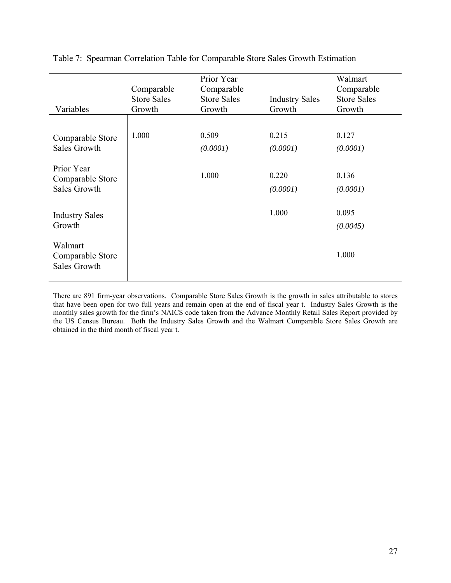| Variables                                             | Comparable<br><b>Store Sales</b><br>Growth | Prior Year<br>Comparable<br><b>Store Sales</b><br>Growth | <b>Industry Sales</b><br>Growth | Walmart<br>Comparable<br><b>Store Sales</b><br>Growth |
|-------------------------------------------------------|--------------------------------------------|----------------------------------------------------------|---------------------------------|-------------------------------------------------------|
|                                                       |                                            |                                                          |                                 |                                                       |
| Comparable Store                                      | 1.000                                      | 0.509                                                    | 0.215                           | 0.127                                                 |
| <b>Sales Growth</b>                                   |                                            | (0.0001)                                                 | (0.0001)                        | (0.0001)                                              |
| Prior Year<br>Comparable Store<br><b>Sales Growth</b> |                                            | 1.000                                                    | 0.220<br>(0.0001)               | 0.136<br>(0.0001)                                     |
| <b>Industry Sales</b>                                 |                                            |                                                          | 1.000                           | 0.095                                                 |
| Growth                                                |                                            |                                                          |                                 | (0.0045)                                              |
| Walmart<br>Comparable Store<br><b>Sales Growth</b>    |                                            |                                                          |                                 | 1.000                                                 |

Table 7: Spearman Correlation Table for Comparable Store Sales Growth Estimation

There are 891 firm-year observations. Comparable Store Sales Growth is the growth in sales attributable to stores that have been open for two full years and remain open at the end of fiscal year t. Industry Sales Growth is the monthly sales growth for the firm's NAICS code taken from the Advance Monthly Retail Sales Report provided by the US Census Bureau. Both the Industry Sales Growth and the Walmart Comparable Store Sales Growth are obtained in the third month of fiscal year t.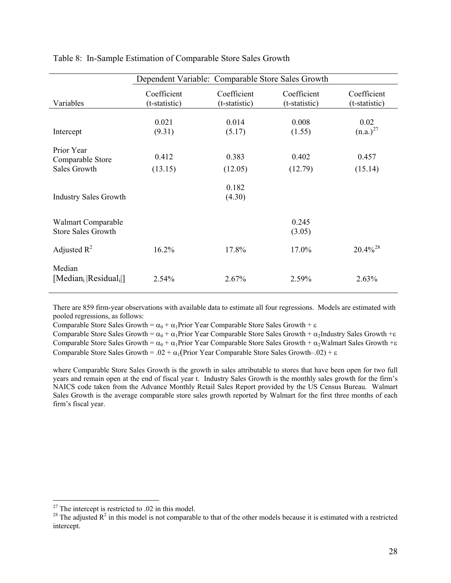|                                                 | Dependent Variable: Comparable Store Sales Growth |                              |                              |                              |  |
|-------------------------------------------------|---------------------------------------------------|------------------------------|------------------------------|------------------------------|--|
| Variables                                       | Coefficient<br>(t-statistic)                      | Coefficient<br>(t-statistic) | Coefficient<br>(t-statistic) | Coefficient<br>(t-statistic) |  |
|                                                 |                                                   |                              |                              |                              |  |
|                                                 | 0.021                                             | 0.014                        | 0.008                        | 0.02                         |  |
| Intercept                                       | (9.31)                                            | (5.17)                       | (1.55)                       | $(n.a.)^{27}$                |  |
|                                                 |                                                   |                              |                              |                              |  |
| Prior Year                                      | 0.412                                             | 0.383                        | 0.402                        | 0.457                        |  |
| Comparable Store                                |                                                   |                              |                              |                              |  |
| Sales Growth                                    | (13.15)                                           | (12.05)                      | (12.79)                      | (15.14)                      |  |
|                                                 |                                                   | 0.182                        |                              |                              |  |
| <b>Industry Sales Growth</b>                    |                                                   | (4.30)                       |                              |                              |  |
|                                                 |                                                   |                              |                              |                              |  |
|                                                 |                                                   |                              |                              |                              |  |
| Walmart Comparable                              |                                                   |                              | 0.245                        |                              |  |
| <b>Store Sales Growth</b>                       |                                                   |                              | (3.05)                       |                              |  |
| Adjusted $R^2$                                  | 16.2%                                             | 17.8%                        | 17.0%                        | $20.4\%^{28}$                |  |
|                                                 |                                                   |                              |                              |                              |  |
| Median                                          |                                                   |                              |                              |                              |  |
| [Median <sub>i</sub>   Residual <sub>i</sub> ]] | 2.54%                                             | 2.67%                        | 2.59%                        | 2.63%                        |  |
|                                                 |                                                   |                              |                              |                              |  |

<span id="page-28-0"></span>Table 8: In-Sample Estimation of Comparable Store Sales Growth

There are 859 firm-year observations with available data to estimate all four regressions. Models are estimated with pooled regressions, as follows:

Comparable Store Sales Growth =  $\alpha_0 + \alpha_1$ Prior Year Comparable Store Sales Growth + ε

Comparable Store Sales Growth =  $\alpha_0 + \alpha_1$ Prior Year Comparable Store Sales Growth +  $\alpha_2$ Industry Sales Growth + $\varepsilon$ Comparable Store Sales Growth =  $\alpha_0 + \alpha_1$ Prior Year Comparable Store Sales Growth +  $\alpha_2$ Walmart Sales Growth + $\varepsilon$ Comparable Store Sales Growth = .02 +  $\alpha_1$ (Prior Year Comparable Store Sales Growth–.02) + ε

where Comparable Store Sales Growth is the growth in sales attributable to stores that have been open for two full years and remain open at the end of fiscal year t. Industry Sales Growth is the monthly sales growth for the firm's NAICS code taken from the Advance Monthly Retail Sales Report provided by the US Census Bureau. Walmart Sales Growth is the average comparable store sales growth reported by Walmart for the first three months of each firm's fiscal year.

 $\overline{a}$ 

 $27$  The intercept is restricted to .02 in this model.

<sup>&</sup>lt;sup>28</sup> The adjusted  $R^2$  in this model is not comparable to that of the other models because it is estimated with a restricted intercept.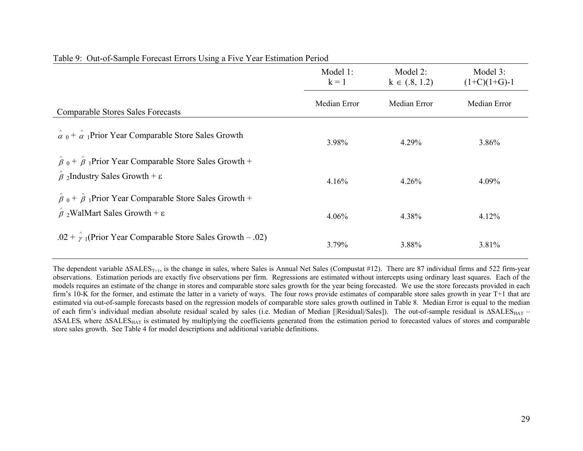|                                                                                                                                                 | Model 1:<br>$k = 1$ | Model 2:<br>$k \in (.8, 1.2)$ | Model 3:<br>$(1+C)(1+G)-1$ |
|-------------------------------------------------------------------------------------------------------------------------------------------------|---------------------|-------------------------------|----------------------------|
| <b>Comparable Stores Sales Forecasts</b>                                                                                                        | Median Error        | Median Error                  | Median Error               |
| $\hat{\alpha}$ o + $\hat{\alpha}$ Prior Year Comparable Store Sales Growth                                                                      | 3.98%               | 4.29%                         | $3.86\%$                   |
| $\hat{\beta}$ o + $\hat{\beta}$ <sub>1</sub> Prior Year Comparable Store Sales Growth +<br>$\hat{\beta}$ 2Industry Sales Growth + $\varepsilon$ | 4.16%               | $4.26\%$                      | 4.09%                      |
| $\hat{\beta}$ o + $\hat{\beta}$ <sub>1</sub> Prior Year Comparable Store Sales Growth +<br>$\hat{\beta}$ 2WalMart Sales Growth + $\varepsilon$  | $4.06\%$            | 4.38%                         | $4.12\%$                   |
| .02 + $\hat{\gamma}$ (Prior Year Comparable Store Sales Growth – .02)                                                                           | 3.79%               | 3.88%                         | 3.81%                      |

# Table 9: Out-of-Sample Forecast Errors Using a Five Year Estimation Period

The dependent variable  $\Delta SALES_{T+1}$ , is the change in sales, where Sales is Annual Net Sales (Compustat #12). There are 87 individual firms and 522 firm-year observations. Estimation periods are exactly five observations per firm. Regressions are estimated without intercepts using ordinary least squares. Each of the models requires an estimate of the change in stores and comparable store sales growth for the year being forecasted. We use the store forecasts provided in each firm's 10-K for the former, and estimate the latter in a variety of ways. The four rows provide estimates of comparable store sales growth in year T+1 that are estimated via out-of-sample forecasts based on the regression models of comparable store sales growth outlined in Table 8. Median Error is equal to the median of each firm's individual median absolute residual scaled by sales (i.e. Median of Median [|Residual|/Sales]). The out-of-sample residual is ΔSALESHAT –  $\Delta SALES_t$  where  $\Delta SALES_{HAT}$  is estimated by multiplying the coefficients generated from the estimation period to forecasted values of stores and comparable store sales growth. See Table 4 for model descriptions and additional variable definitions.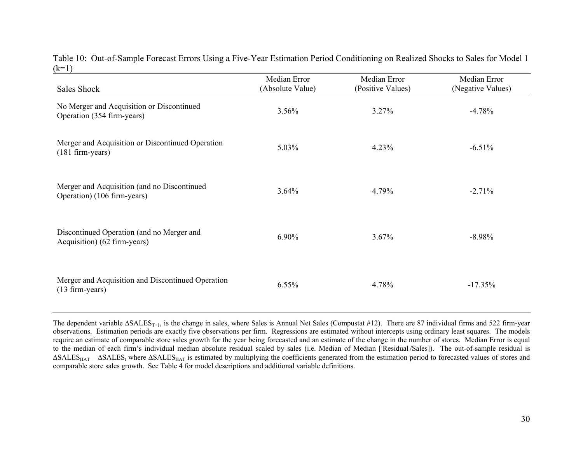Table 10: Out-of-Sample Forecast Errors Using a Five-Year Estimation Period Conditioning on Realized Shocks to Sales for Model 1  $(k=1)$ 

| Sales Shock                                                                | Median Error<br>(Absolute Value) | Median Error<br>(Positive Values) | Median Error<br>(Negative Values) |
|----------------------------------------------------------------------------|----------------------------------|-----------------------------------|-----------------------------------|
| No Merger and Acquisition or Discontinued<br>Operation (354 firm-years)    | 3.56%                            | $3.27\%$                          | $-4.78%$                          |
| Merger and Acquisition or Discontinued Operation<br>$(181$ firm-years)     | 5.03%                            | 4.23%                             | $-6.51%$                          |
| Merger and Acquisition (and no Discontinued<br>Operation) (106 firm-years) | 3.64%                            | 4.79%                             | $-2.71%$                          |
| Discontinued Operation (and no Merger and<br>Acquisition) (62 firm-years)  | 6.90%                            | 3.67%                             | $-8.98%$                          |
| Merger and Acquisition and Discontinued Operation<br>(13 firm-years)       | $6.55\%$                         | 4.78%                             | $-17.35%$                         |

The dependent variable  $\Delta SALES_{T+1}$ , is the change in sales, where Sales is Annual Net Sales (Compustat #12). There are 87 individual firms and 522 firm-year observations. Estimation periods are exactly five observations per firm. Regressions are estimated without intercepts using ordinary least squares. The models require an estimate of comparable store sales growth for the year being forecasted and an estimate of the change in the number of stores. Median Error is equal to the median of each firm's individual median absolute residual scaled by sales (i.e. Median of Median [|Residual|/Sales]). The out-of-sample residual is  $\Delta SALES_{HAT} - \Delta SALES_{t}$  where  $\Delta SALES_{HAT}$  is estimated by multiplying the coefficients generated from the estimation period to forecasted values of stores and comparable store sales growth. See Table 4 for model descriptions and additional variable definitions.